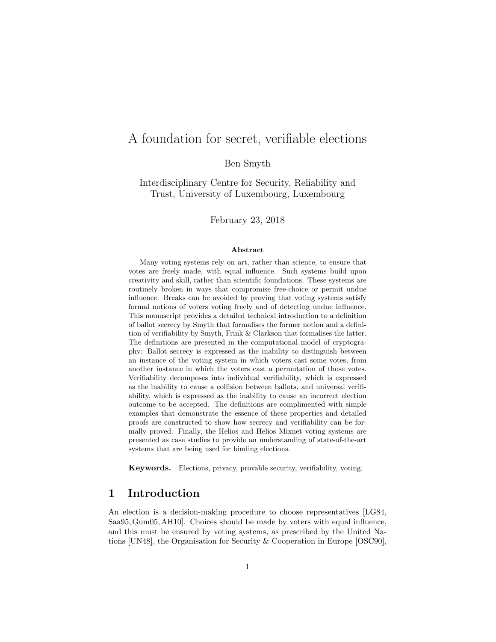# A foundation for secret, verifiable elections

Ben Smyth

Interdisciplinary Centre for Security, Reliability and Trust, University of Luxembourg, Luxembourg

February 23, 2018

#### Abstract

Many voting systems rely on art, rather than science, to ensure that votes are freely made, with equal influence. Such systems build upon creativity and skill, rather than scientific foundations. These systems are routinely broken in ways that compromise free-choice or permit undue influence. Breaks can be avoided by proving that voting systems satisfy formal notions of voters voting freely and of detecting undue influence. This manuscript provides a detailed technical introduction to a definition of ballot secrecy by Smyth that formalises the former notion and a definition of verifiability by Smyth, Frink & Clarkson that formalises the latter. The definitions are presented in the computational model of cryptography: Ballot secrecy is expressed as the inability to distinguish between an instance of the voting system in which voters cast some votes, from another instance in which the voters cast a permutation of those votes. Verifiability decomposes into individual verifiability, which is expressed as the inability to cause a collision between ballots, and universal verifiability, which is expressed as the inability to cause an incorrect election outcome to be accepted. The definitions are complimented with simple examples that demonstrate the essence of these properties and detailed proofs are constructed to show how secrecy and verifiability can be formally proved. Finally, the Helios and Helios Mixnet voting systems are presented as case studies to provide an understanding of state-of-the-art systems that are being used for binding elections.

Keywords. Elections, privacy, provable security, verifiability, voting.

# 1 Introduction

An election is a decision-making procedure to choose representatives [LG84, Saa95, Gum05, AH10]. Choices should be made by voters with equal influence, and this must be ensured by voting systems, as prescribed by the United Nations [UN48], the Organisation for Security & Cooperation in Europe [OSC90],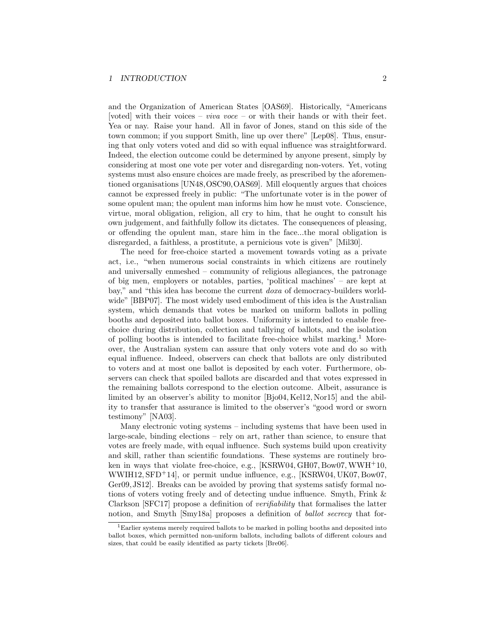and the Organization of American States [OAS69]. Historically, "Americans [voted] with their voices – *viva voce* – or with their hands or with their feet. Yea or nay. Raise your hand. All in favor of Jones, stand on this side of the town common; if you support Smith, line up over there" [Lep08]. Thus, ensuring that only voters voted and did so with equal influence was straightforward. Indeed, the election outcome could be determined by anyone present, simply by considering at most one vote per voter and disregarding non-voters. Yet, voting systems must also ensure choices are made freely, as prescribed by the aforementioned organisations [UN48,OSC90,OAS69]. Mill eloquently argues that choices cannot be expressed freely in public: "The unfortunate voter is in the power of some opulent man; the opulent man informs him how he must vote. Conscience, virtue, moral obligation, religion, all cry to him, that he ought to consult his own judgement, and faithfully follow its dictates. The consequences of pleasing, or offending the opulent man, stare him in the face...the moral obligation is disregarded, a faithless, a prostitute, a pernicious vote is given" [Mil30].

The need for free-choice started a movement towards voting as a private act, i.e., "when numerous social constraints in which citizens are routinely and universally enmeshed – community of religious allegiances, the patronage of big men, employers or notables, parties, 'political machines' – are kept at bay," and "this idea has become the current doxa of democracy-builders worldwide" [BBP07]. The most widely used embodiment of this idea is the Australian system, which demands that votes be marked on uniform ballots in polling booths and deposited into ballot boxes. Uniformity is intended to enable freechoice during distribution, collection and tallying of ballots, and the isolation of polling booths is intended to facilitate free-choice whilst marking.<sup>1</sup> Moreover, the Australian system can assure that only voters vote and do so with equal influence. Indeed, observers can check that ballots are only distributed to voters and at most one ballot is deposited by each voter. Furthermore, observers can check that spoiled ballots are discarded and that votes expressed in the remaining ballots correspond to the election outcome. Albeit, assurance is limited by an observer's ability to monitor [Bjo04, Kel12, Nor15] and the ability to transfer that assurance is limited to the observer's "good word or sworn testimony" [NA03].

Many electronic voting systems – including systems that have been used in large-scale, binding elections – rely on art, rather than science, to ensure that votes are freely made, with equal influence. Such systems build upon creativity and skill, rather than scientific foundations. These systems are routinely broken in ways that violate free-choice, e.g., [KSRW04, GH07, Bow07, WWH<sup>+</sup>10, WWIH12,  $SFD+14$ , or permit undue influence, e.g., [KSRW04, UK07, Bow07, Ger09, JS12]. Breaks can be avoided by proving that systems satisfy formal notions of voters voting freely and of detecting undue influence. Smyth, Frink & Clarkson [SFC17] propose a definition of verifiability that formalises the latter notion, and Smyth [Smy18a] proposes a definition of ballot secrecy that for-

<sup>&</sup>lt;sup>1</sup>Earlier systems merely required ballots to be marked in polling booths and deposited into ballot boxes, which permitted non-uniform ballots, including ballots of different colours and sizes, that could be easily identified as party tickets [Bre06].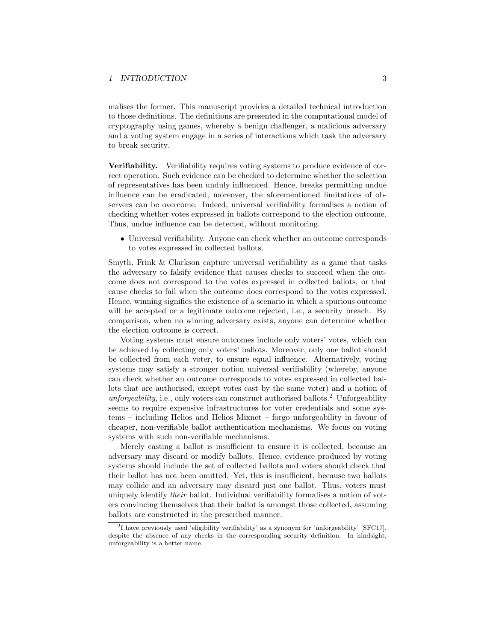malises the former. This manuscript provides a detailed technical introduction to those definitions. The definitions are presented in the computational model of cryptography using games, whereby a benign challenger, a malicious adversary and a voting system engage in a series of interactions which task the adversary to break security.

Verifiability. Verifiability requires voting systems to produce evidence of correct operation. Such evidence can be checked to determine whether the selection of representatives has been unduly influenced. Hence, breaks permitting undue influence can be eradicated, moreover, the aforementioned limitations of observers can be overcome. Indeed, universal verifiability formalises a notion of checking whether votes expressed in ballots correspond to the election outcome. Thus, undue influence can be detected, without monitoring.

• Universal verifiability. Anyone can check whether an outcome corresponds to votes expressed in collected ballots.

Smyth, Frink & Clarkson capture universal verifiability as a game that tasks the adversary to falsify evidence that causes checks to succeed when the outcome does not correspond to the votes expressed in collected ballots, or that cause checks to fail when the outcome does correspond to the votes expressed. Hence, winning signifies the existence of a scenario in which a spurious outcome will be accepted or a legitimate outcome rejected, i.e., a security breach. By comparison, when no winning adversary exists, anyone can determine whether the election outcome is correct.

Voting systems must ensure outcomes include only voters' votes, which can be achieved by collecting only voters' ballots. Moreover, only one ballot should be collected from each voter, to ensure equal influence. Alternatively, voting systems may satisfy a stronger notion universal verifiability (whereby, anyone can check whether an outcome corresponds to votes expressed in collected ballots that are authorised, except votes cast by the same voter) and a notion of unforgeability, i.e., only voters can construct authorised ballots.<sup>2</sup> Unforgeability seems to require expensive infrastructures for voter credentials and some systems – including Helios and Helios Mixnet – forgo unforgeability in favour of cheaper, non-verifiable ballot authentication mechanisms. We focus on voting systems with such non-verifiable mechanisms.

Merely casting a ballot is insufficient to ensure it is collected, because an adversary may discard or modify ballots. Hence, evidence produced by voting systems should include the set of collected ballots and voters should check that their ballot has not been omitted. Yet, this is insufficient, because two ballots may collide and an adversary may discard just one ballot. Thus, voters must uniquely identify their ballot. Individual verifiability formalises a notion of voters convincing themselves that their ballot is amongst those collected, assuming ballots are constructed in the prescribed manner.

<sup>&</sup>lt;sup>2</sup>I have previously used 'eligibility verifiability' as a synonym for 'unforgeability' [SFC17], despite the absence of any checks in the corresponding security definition. In hindsight, unforgeability is a better name.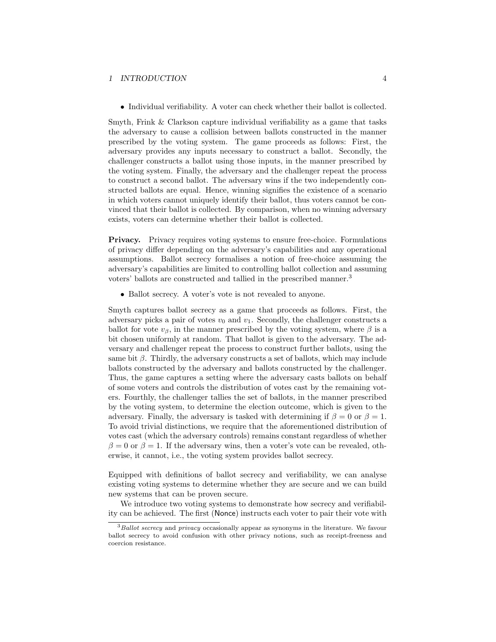#### 1 INTRODUCTION 4

• Individual verifiability. A voter can check whether their ballot is collected.

Smyth, Frink & Clarkson capture individual verifiability as a game that tasks the adversary to cause a collision between ballots constructed in the manner prescribed by the voting system. The game proceeds as follows: First, the adversary provides any inputs necessary to construct a ballot. Secondly, the challenger constructs a ballot using those inputs, in the manner prescribed by the voting system. Finally, the adversary and the challenger repeat the process to construct a second ballot. The adversary wins if the two independently constructed ballots are equal. Hence, winning signifies the existence of a scenario in which voters cannot uniquely identify their ballot, thus voters cannot be convinced that their ballot is collected. By comparison, when no winning adversary exists, voters can determine whether their ballot is collected.

Privacy. Privacy requires voting systems to ensure free-choice. Formulations of privacy differ depending on the adversary's capabilities and any operational assumptions. Ballot secrecy formalises a notion of free-choice assuming the adversary's capabilities are limited to controlling ballot collection and assuming voters' ballots are constructed and tallied in the prescribed manner.<sup>3</sup>

• Ballot secrecy. A voter's vote is not revealed to anyone.

Smyth captures ballot secrecy as a game that proceeds as follows. First, the adversary picks a pair of votes  $v_0$  and  $v_1$ . Secondly, the challenger constructs a ballot for vote  $v_\beta$ , in the manner prescribed by the voting system, where  $\beta$  is a bit chosen uniformly at random. That ballot is given to the adversary. The adversary and challenger repeat the process to construct further ballots, using the same bit  $\beta$ . Thirdly, the adversary constructs a set of ballots, which may include ballots constructed by the adversary and ballots constructed by the challenger. Thus, the game captures a setting where the adversary casts ballots on behalf of some voters and controls the distribution of votes cast by the remaining voters. Fourthly, the challenger tallies the set of ballots, in the manner prescribed by the voting system, to determine the election outcome, which is given to the adversary. Finally, the adversary is tasked with determining if  $\beta = 0$  or  $\beta = 1$ . To avoid trivial distinctions, we require that the aforementioned distribution of votes cast (which the adversary controls) remains constant regardless of whether  $\beta = 0$  or  $\beta = 1$ . If the adversary wins, then a voter's vote can be revealed, otherwise, it cannot, i.e., the voting system provides ballot secrecy.

Equipped with definitions of ballot secrecy and verifiability, we can analyse existing voting systems to determine whether they are secure and we can build new systems that can be proven secure.

We introduce two voting systems to demonstrate how secrecy and verifiability can be achieved. The first (Nonce) instructs each voter to pair their vote with

 $3$ Ballot secrecy and privacy occasionally appear as synonyms in the literature. We favour ballot secrecy to avoid confusion with other privacy notions, such as receipt-freeness and coercion resistance.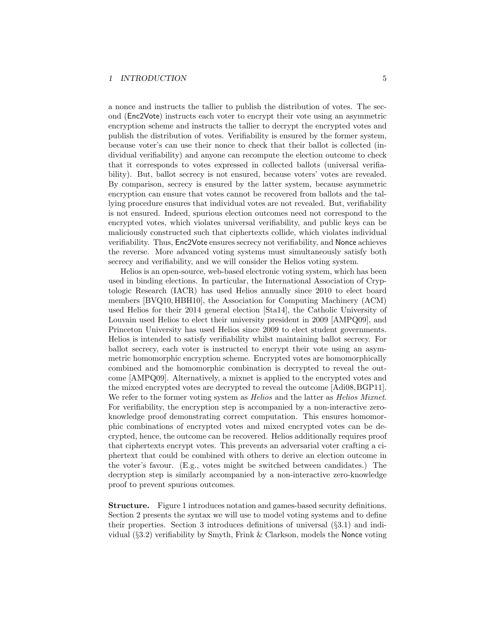a nonce and instructs the tallier to publish the distribution of votes. The second (Enc2Vote) instructs each voter to encrypt their vote using an asymmetric encryption scheme and instructs the tallier to decrypt the encrypted votes and publish the distribution of votes. Verifiability is ensured by the former system, because voter's can use their nonce to check that their ballot is collected (individual verifiability) and anyone can recompute the election outcome to check that it corresponds to votes expressed in collected ballots (universal verifiability). But, ballot secrecy is not ensured, because voters' votes are revealed. By comparison, secrecy is ensured by the latter system, because asymmetric encryption can ensure that votes cannot be recovered from ballots and the tallying procedure ensures that individual votes are not revealed. But, verifiability is not ensured. Indeed, spurious election outcomes need not correspond to the encrypted votes, which violates universal verifiability, and public keys can be maliciously constructed such that ciphertexts collide, which violates individual verifiability. Thus, Enc2Vote ensures secrecy not verifiability, and Nonce achieves the reverse. More advanced voting systems must simultaneously satisfy both secrecy and verifiability, and we will consider the Helios voting system.

Helios is an open-source, web-based electronic voting system, which has been used in binding elections. In particular, the International Association of Cryptologic Research (IACR) has used Helios annually since 2010 to elect board members [BVQ10, HBH10], the Association for Computing Machinery (ACM) used Helios for their 2014 general election [Sta14], the Catholic University of Louvain used Helios to elect their university president in 2009 [AMPQ09], and Princeton University has used Helios since 2009 to elect student governments. Helios is intended to satisfy verifiability whilst maintaining ballot secrecy. For ballot secrecy, each voter is instructed to encrypt their vote using an asymmetric homomorphic encryption scheme. Encrypted votes are homomorphically combined and the homomorphic combination is decrypted to reveal the outcome [AMPQ09]. Alternatively, a mixnet is applied to the encrypted votes and the mixed encrypted votes are decrypted to reveal the outcome [Adi08,BGP11]. We refer to the former voting system as *Helios* and the latter as *Helios Mixnet*. For verifiability, the encryption step is accompanied by a non-interactive zeroknowledge proof demonstrating correct computation. This ensures homomorphic combinations of encrypted votes and mixed encrypted votes can be decrypted, hence, the outcome can be recovered. Helios additionally requires proof that ciphertexts encrypt votes. This prevents an adversarial voter crafting a ciphertext that could be combined with others to derive an election outcome in the voter's favour. (E.g., votes might be switched between candidates.) The decryption step is similarly accompanied by a non-interactive zero-knowledge proof to prevent spurious outcomes.

Structure. Figure 1 introduces notation and games-based security definitions. Section 2 presents the syntax we will use to model voting systems and to define their properties. Section 3 introduces definitions of universal (§3.1) and individual (§3.2) verifiability by Smyth, Frink & Clarkson, models the Nonce voting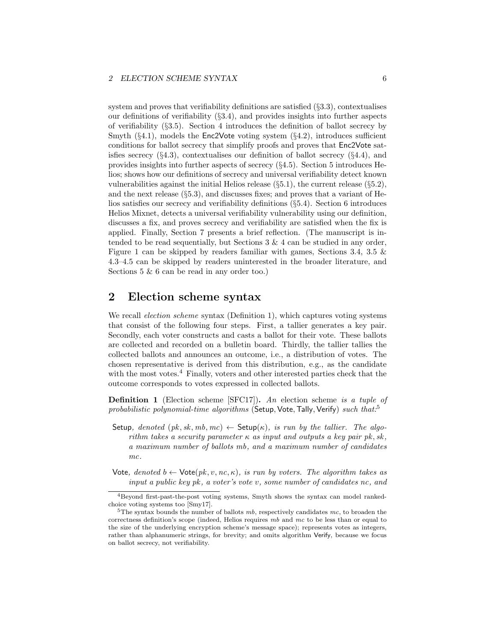#### 2 ELECTION SCHEME SYNTAX 6

system and proves that verifiability definitions are satisfied (§3.3), contextualises our definitions of verifiability (§3.4), and provides insights into further aspects of verifiability  $(\S3.5)$ . Section 4 introduces the definition of ballot secrecy by Smyth  $(\S 4.1)$ , models the Enc2Vote voting system  $(\S 4.2)$ , introduces sufficient conditions for ballot secrecy that simplify proofs and proves that Enc2Vote satisfies secrecy  $(\S4.3)$ , contextualises our definition of ballot secrecy  $(\S4.4)$ , and provides insights into further aspects of secrecy (§4.5). Section 5 introduces Helios; shows how our definitions of secrecy and universal verifiability detect known vulnerabilities against the initial Helios release  $(\S 5.1)$ , the current release  $(\S 5.2)$ , and the next release  $(\S5.3)$ , and discusses fixes; and proves that a variant of Helios satisfies our secrecy and verifiability definitions (§5.4). Section 6 introduces Helios Mixnet, detects a universal verifiability vulnerability using our definition, discusses a fix, and proves secrecy and verifiability are satisfied when the fix is applied. Finally, Section 7 presents a brief reflection. (The manuscript is intended to be read sequentially, but Sections  $3 \& 4$  can be studied in any order, Figure 1 can be skipped by readers familiar with games, Sections 3.4, 3.5 & 4.3–4.5 can be skipped by readers uninterested in the broader literature, and Sections 5 & 6 can be read in any order too.)

# 2 Election scheme syntax

We recall *election scheme* syntax (Definition 1), which captures voting systems that consist of the following four steps. First, a tallier generates a key pair. Secondly, each voter constructs and casts a ballot for their vote. These ballots are collected and recorded on a bulletin board. Thirdly, the tallier tallies the collected ballots and announces an outcome, i.e., a distribution of votes. The chosen representative is derived from this distribution, e.g., as the candidate with the most votes. $4$  Finally, voters and other interested parties check that the outcome corresponds to votes expressed in collected ballots.

Definition 1 (Election scheme [SFC17]). An election scheme is a tuple of probabilistic polynomial-time algorithms (Setup, Vote, Tally, Verify) such that:<sup>5</sup>

- Setup, denoted  $(pk, sk, mb, mc) \leftarrow$  Setup $(\kappa)$ , is run by the tallier. The algorithm takes a security parameter  $\kappa$  as input and outputs a key pair pk, sk, a maximum number of ballots mb, and a maximum number of candidates mc.
- Vote, denoted  $b \leftarrow \text{Vote}(pk, v, nc, \kappa)$ , is run by voters. The algorithm takes as input a public key  $pk$ , a voter's vote  $v$ , some number of candidates  $nc$ , and

<sup>4</sup>Beyond first-past-the-post voting systems, Smyth shows the syntax can model rankedchoice voting systems too [Smy17].

<sup>&</sup>lt;sup>5</sup>The syntax bounds the number of ballots  $mb$ , respectively candidates mc, to broaden the correctness definition's scope (indeed, Helios requires  $mb$  and  $mc$  to be less than or equal to the size of the underlying encryption scheme's message space); represents votes as integers, rather than alphanumeric strings, for brevity; and omits algorithm Verify, because we focus on ballot secrecy, not verifiability.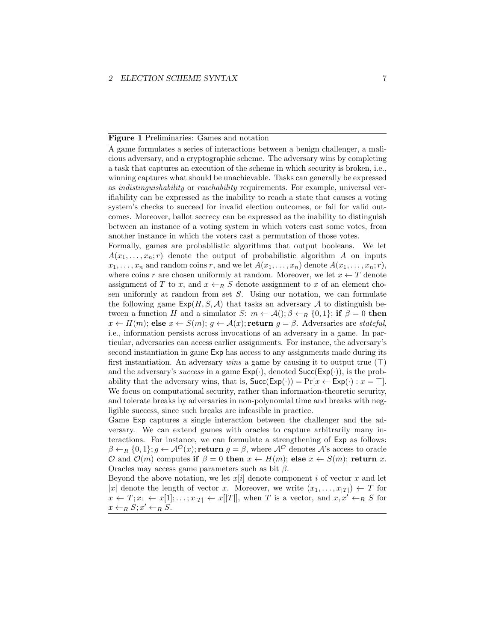#### 2 ELECTION SCHEME SYNTAX 7

#### Figure 1 Preliminaries: Games and notation

A game formulates a series of interactions between a benign challenger, a malicious adversary, and a cryptographic scheme. The adversary wins by completing a task that captures an execution of the scheme in which security is broken, i.e., winning captures what should be unachievable. Tasks can generally be expressed as indistinguishability or reachability requirements. For example, universal verifiability can be expressed as the inability to reach a state that causes a voting system's checks to succeed for invalid election outcomes, or fail for valid outcomes. Moreover, ballot secrecy can be expressed as the inability to distinguish between an instance of a voting system in which voters cast some votes, from another instance in which the voters cast a permutation of those votes.

Formally, games are probabilistic algorithms that output booleans. We let  $A(x_1, \ldots, x_n; r)$  denote the output of probabilistic algorithm A on inputs  $x_1, \ldots, x_n$  and random coins r, and we let  $A(x_1, \ldots, x_n)$  denote  $A(x_1, \ldots, x_n; r)$ , where coins r are chosen uniformly at random. Moreover, we let  $x \leftarrow T$  denote assignment of T to x, and  $x \leftarrow_R S$  denote assignment to x of an element chosen uniformly at random from set S. Using our notation, we can formulate the following game  $Exp(H, S, A)$  that tasks an adversary A to distinguish between a function H and a simulator S:  $m \leftarrow \mathcal{A}(\cdot; \beta \leftarrow_R \{0, 1\};$  if  $\beta = 0$  then  $x \leftarrow H(m)$ ; else  $x \leftarrow S(m)$ ;  $g \leftarrow \mathcal{A}(x)$ ; return  $g = \beta$ . Adversaries are stateful, i.e., information persists across invocations of an adversary in a game. In particular, adversaries can access earlier assignments. For instance, the adversary's second instantiation in game Exp has access to any assignments made during its first instantiation. An adversary wins a game by causing it to output true  $(\top)$ and the adversary's success in a game  $Exp(\cdot)$ , denoted  $Succ(Exp(\cdot))$ , is the probability that the adversary wins, that is,  $Succ(Exp(\cdot)) = Pr[x \leftarrow Exp(\cdot) : x = \top]$ . We focus on computational security, rather than information-theoretic security, and tolerate breaks by adversaries in non-polynomial time and breaks with negligible success, since such breaks are infeasible in practice.

Game Exp captures a single interaction between the challenger and the adversary. We can extend games with oracles to capture arbitrarily many interactions. For instance, we can formulate a strengthening of Exp as follows:  $\beta \leftarrow_R \{0,1\}; g \leftarrow \mathcal{A}^{\mathcal{O}}(x);$  return  $g = \beta$ , where  $\mathcal{A}^{\mathcal{O}}$  denotes A's access to oracle O and  $\mathcal{O}(m)$  computes if  $\beta = 0$  then  $x \leftarrow H(m)$ ; else  $x \leftarrow S(m)$ ; return x. Oracles may access game parameters such as bit  $\beta$ .

Beyond the above notation, we let  $x[i]$  denote component i of vector x and let |x| denote the length of vector x. Moreover, we write  $(x_1, \ldots, x_{|T|}) \leftarrow T$  for  $x \leftarrow T; x_1 \leftarrow x[1]; \ldots; x_{|T|} \leftarrow x[|T|],$  when T is a vector, and  $x, x' \leftarrow_R S$  for  $x \leftarrow_R S; x' \leftarrow_R S$ .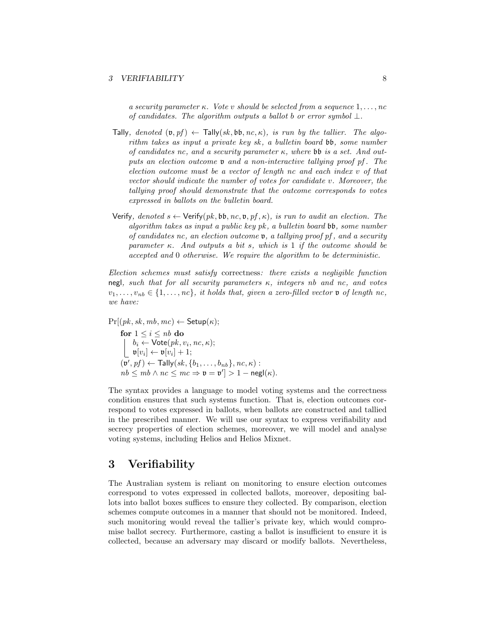#### 3 VERIFIABILITY 8

a security parameter  $\kappa$ . Vote v should be selected from a sequence  $1, \ldots, nc$ of candidates. The algorithm outputs a ballot b or error symbol  $\bot$ .

- Tally, denoted  $(\mathfrak{v}, pf) \leftarrow \text{Tally}(sk, \mathfrak{bb}, nc, \kappa)$ , is run by the tallier. The algorithm takes as input a private key  $sk$ , a bulletin board  $\mathfrak{bb}$ , some number of candidates nc, and a security parameter  $\kappa$ , where bb is a set. And outputs an election outcome **v** and a non-interactive tallying proof pf. The election outcome must be a vector of length nc and each index v of that vector should indicate the number of votes for candidate v. Moreover, the tallying proof should demonstrate that the outcome corresponds to votes expressed in ballots on the bulletin board.
- Verify, denoted  $s \leftarrow$  Verify(pk, bb, nc, v, pf,  $\kappa$ ), is run to audit an election. The algorithm takes as input a public key  $pk$ , a bulletin board  $bb$ , some number of candidates nc, an election outcome  $v$ , a tallying proof pf, and a security parameter  $\kappa$ . And outputs a bit s, which is 1 if the outcome should be accepted and 0 otherwise. We require the algorithm to be deterministic.

Election schemes must satisfy correctness: there exists a negligible function negl, such that for all security parameters  $\kappa$ , integers nb and nc, and votes  $v_1, \ldots, v_{nb} \in \{1, \ldots, nc\},$  it holds that, given a zero-filled vector **v** of length nc, we have:

 $Pr[(pk, sk, mb, mc) \leftarrow$  Setup $(\kappa);$ for  $1 \leq i \leq nb$  do  $b_i \leftarrow \mathsf{Vote}(pk, v_i, nc, \kappa);$  $\mathfrak{v}[v_i] \leftarrow \mathfrak{v}[v_i] + 1;$  $(\mathfrak{v}', pf) \leftarrow \mathsf{Tally}(sk, \{b_1, \ldots, b_{nb}\}, nc, \kappa)$ :  $nb \leq mb \land nc \leq mc \Rightarrow \mathfrak{v} = \mathfrak{v}' > 1 - \mathsf{negl}(\kappa).$ 

The syntax provides a language to model voting systems and the correctness condition ensures that such systems function. That is, election outcomes correspond to votes expressed in ballots, when ballots are constructed and tallied in the prescribed manner. We will use our syntax to express verifiability and secrecy properties of election schemes, moreover, we will model and analyse voting systems, including Helios and Helios Mixnet.

# 3 Verifiability

The Australian system is reliant on monitoring to ensure election outcomes correspond to votes expressed in collected ballots, moreover, depositing ballots into ballot boxes suffices to ensure they collected. By comparison, election schemes compute outcomes in a manner that should not be monitored. Indeed, such monitoring would reveal the tallier's private key, which would compromise ballot secrecy. Furthermore, casting a ballot is insufficient to ensure it is collected, because an adversary may discard or modify ballots. Nevertheless,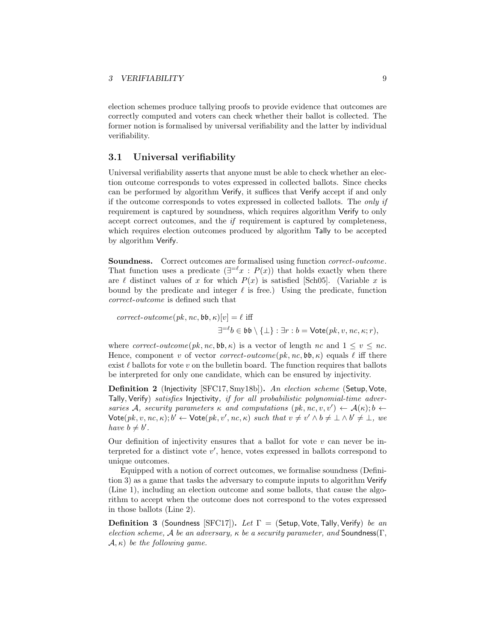election schemes produce tallying proofs to provide evidence that outcomes are correctly computed and voters can check whether their ballot is collected. The former notion is formalised by universal verifiability and the latter by individual verifiability.

## 3.1 Universal verifiability

Universal verifiability asserts that anyone must be able to check whether an election outcome corresponds to votes expressed in collected ballots. Since checks can be performed by algorithm Verify, it suffices that Verify accept if and only if the outcome corresponds to votes expressed in collected ballots. The only if requirement is captured by soundness, which requires algorithm Verify to only accept correct outcomes, and the if requirement is captured by completeness, which requires election outcomes produced by algorithm Tally to be accepted by algorithm Verify.

Soundness. Correct outcomes are formalised using function correct-outcome. That function uses a predicate  $(\exists^{=\ell} x : P(x))$  that holds exactly when there are  $\ell$  distinct values of x for which  $P(x)$  is satisfied [Sch05]. (Variable x is bound by the predicate and integer  $\ell$  is free.) Using the predicate, function correct-outcome is defined such that

correct-outcome(pk, nc,  $\mathfrak{bb}, \kappa$ )[v] =  $\ell$  iff  $\exists^{=\ell} b \in \mathfrak{bb} \setminus \{\bot\} : \exists r : b = \mathsf{Vote}(pk, v, nc, \kappa; r),$ 

where correct-outcome(pk, nc, bb,  $\kappa$ ) is a vector of length nc and  $1 \le v \le nc$ . Hence, component v of vector correct-outcome(pk, nc,  $\mathfrak{bb}, \kappa$ ) equals  $\ell$  iff there exist  $\ell$  ballots for vote v on the bulletin board. The function requires that ballots be interpreted for only one candidate, which can be ensured by injectivity.

Definition 2 (Injectivity [SFC17, Smy18b]). An election scheme (Setup, Vote, Tally, Verify) satisfies Injectivity, if for all probabilistic polynomial-time adversaries A, security parameters  $\kappa$  and computations  $(pk, nc, v, v') \leftarrow A(\kappa); b \leftarrow$  $\mathsf{Vote}(pk, v, nc, \kappa); b' \leftarrow \mathsf{Vote}(pk, v', nc, \kappa) \text{ such that } v \neq v' \land b \neq \bot \land b' \neq \bot, \text{ we}$ have  $b \neq b'$ .

Our definition of injectivity ensures that a ballot for vote  $v$  can never be interpreted for a distinct vote  $v'$ , hence, votes expressed in ballots correspond to unique outcomes.

Equipped with a notion of correct outcomes, we formalise soundness (Definition 3) as a game that tasks the adversary to compute inputs to algorithm Verify (Line 1), including an election outcome and some ballots, that cause the algorithm to accept when the outcome does not correspond to the votes expressed in those ballots (Line 2).

**Definition 3** (Soundness [SFC17]). Let  $\Gamma$  = (Setup, Vote, Tally, Verify) be an election scheme, A be an adversary,  $\kappa$  be a security parameter, and Soundness( $\Gamma$ ,  $(A, \kappa)$  be the following game.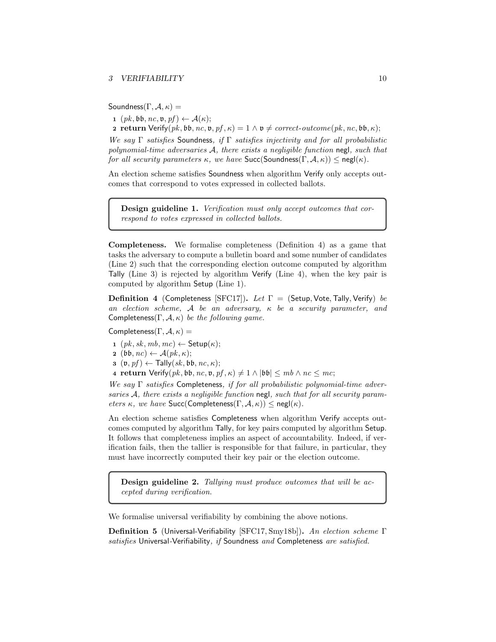Soundness( $\Gamma$ ,  $\mathcal{A}$ ,  $\kappa$ ) =

1  $(pk, bb, nc, v, pf) \leftarrow \mathcal{A}(\kappa);$ 

**2** return Verify(pk, bb, nc,  $v$ , pf,  $\kappa$ ) = 1  $\wedge v \neq correct\text{-}outcome(pk, nc, bb, \kappa);$ 

We say  $\Gamma$  satisfies Soundness, if  $\Gamma$  satisfies injectivity and for all probabilistic polynomial-time adversaries A, there exists a negligible function negl, such that for all security parameters  $\kappa$ , we have Succ(Soundness( $[\Gamma, \mathcal{A}, \kappa)$ )  $\leq$  negl( $\kappa$ ).

An election scheme satisfies Soundness when algorithm Verify only accepts outcomes that correspond to votes expressed in collected ballots.

Design guideline 1. Verification must only accept outcomes that correspond to votes expressed in collected ballots.

Completeness. We formalise completeness (Definition 4) as a game that tasks the adversary to compute a bulletin board and some number of candidates (Line 2) such that the corresponding election outcome computed by algorithm Tally (Line 3) is rejected by algorithm Verify (Line 4), when the key pair is computed by algorithm Setup (Line 1).

**Definition 4** (Completeness [SFC17]). Let  $\Gamma$  = (Setup, Vote, Tally, Verify) be an election scheme,  $A$  be an adversary,  $\kappa$  be a security parameter, and Completeness( $\Gamma$ ,  $\mathcal{A}$ ,  $\kappa$ ) be the following game.

Completeness( $\Gamma$ ,  $\mathcal{A}$ ,  $\kappa$ ) =

- 1  $(pk, sk, mb, mc) \leftarrow$  Setup $(\kappa);$
- 2 (bb,  $nc$ )  $\leftarrow$   $\mathcal{A}(pk, \kappa);$
- $\mathbf{s}$   $(\mathfrak{v}, pf) \leftarrow \text{Tally}(sk, \mathfrak{bb}, nc, \kappa);$
- 4 return Verify(pk, bb, nc,  $\mathfrak{v}, pf, \kappa) \neq 1 \wedge |\mathfrak{bb}| \leq mb \wedge nc \leq mc;$

We say  $\Gamma$  satisfies Completeness, if for all probabilistic polynomial-time adversaries A, there exists a negligible function negl, such that for all security parameters κ, we have Succ(Completeness(Γ,  $A, \kappa$ ))  $\leq$  negl( $\kappa$ ).

An election scheme satisfies Completeness when algorithm Verify accepts outcomes computed by algorithm Tally, for key pairs computed by algorithm Setup. It follows that completeness implies an aspect of accountability. Indeed, if verification fails, then the tallier is responsible for that failure, in particular, they must have incorrectly computed their key pair or the election outcome.

Design guideline 2. Tallying must produce outcomes that will be accepted during verification.

We formalise universal verifiability by combining the above notions.

Definition 5 (Universal-Verifiability [SFC17, Smy18b]). An election scheme Γ satisfies Universal-Verifiability, if Soundness and Completeness are satisfied.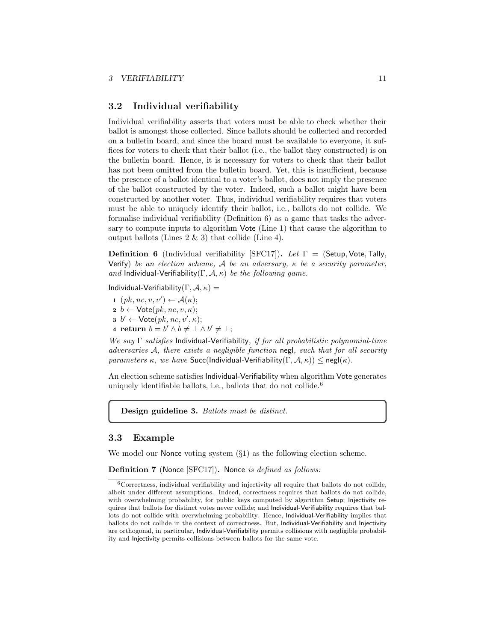## 3.2 Individual verifiability

Individual verifiability asserts that voters must be able to check whether their ballot is amongst those collected. Since ballots should be collected and recorded on a bulletin board, and since the board must be available to everyone, it suffices for voters to check that their ballot (i.e., the ballot they constructed) is on the bulletin board. Hence, it is necessary for voters to check that their ballot has not been omitted from the bulletin board. Yet, this is insufficient, because the presence of a ballot identical to a voter's ballot, does not imply the presence of the ballot constructed by the voter. Indeed, such a ballot might have been constructed by another voter. Thus, individual verifiability requires that voters must be able to uniquely identify their ballot, i.e., ballots do not collide. We formalise individual verifiability (Definition 6) as a game that tasks the adversary to compute inputs to algorithm Vote (Line 1) that cause the algorithm to output ballots (Lines  $2 \& 3$ ) that collide (Line 4).

**Definition 6** (Individual verifiability [SFC17]). Let  $\Gamma$  = (Setup, Vote, Tally, Verify) be an election scheme, A be an adversary,  $\kappa$  be a security parameter, and Individual-Verifiability( $[\Gamma, \mathcal{A}, \kappa]$  be the following game.

Individual-Verifiability( $\Gamma$ ,  $\mathcal{A}$ ,  $\kappa$ ) =

1  $(pk, nc, v, v') \leftarrow \mathcal{A}(\kappa);$  $2 \; b \leftarrow \text{Vote}(pk, nc, v, \kappa);$  $\mathbf{3} \ \ b' \leftarrow \mathsf{Vote}(pk, nc, v', \kappa);$ 4 return  $b = b' \wedge b \neq \bot \wedge b' \neq \bot;$ 

We say  $\Gamma$  satisfies Individual-Verifiability, if for all probabilistic polynomial-time adversaries  $A$ , there exists a negligible function negl, such that for all security parameters  $\kappa$ , we have Succ(Individual-Verifiability(Γ,  $\mathcal{A}, \kappa$ ))  $\leq$  negl( $\kappa$ ).

An election scheme satisfies Individual-Verifiability when algorithm Vote generates uniquely identifiable ballots, i.e., ballots that do not collide.<sup>6</sup>

Design guideline 3. Ballots must be distinct.

## 3.3 Example

We model our Nonce voting system (§1) as the following election scheme.

Definition 7 (Nonce [SFC17]). Nonce is defined as follows:

 $6$ Correctness, individual verifiability and injectivity all require that ballots do not collide, albeit under different assumptions. Indeed, correctness requires that ballots do not collide, with overwhelming probability, for public keys computed by algorithm Setup; Injectivity requires that ballots for distinct votes never collide; and Individual-Verifiability requires that ballots do not collide with overwhelming probability. Hence, Individual-Verifiability implies that ballots do not collide in the context of correctness. But, Individual-Verifiability and Injectivity are orthogonal, in particular, Individual-Verifiability permits collisions with negligible probability and Injectivity permits collisions between ballots for the same vote.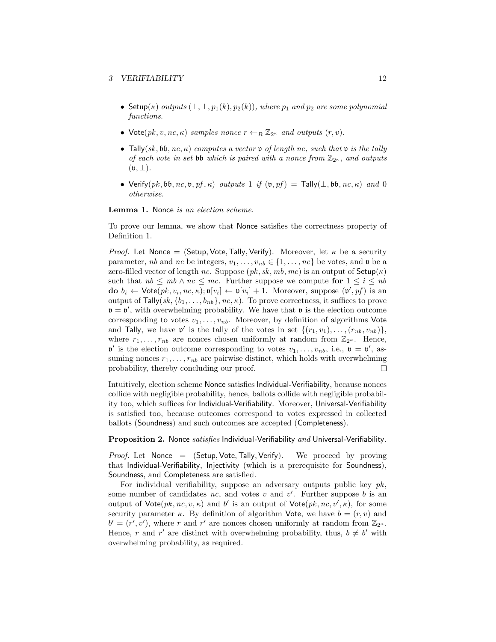- Setup( $\kappa$ ) outputs  $(\perp, \perp, p_1(k), p_2(k))$ , where  $p_1$  and  $p_2$  are some polynomial functions.
- Vote( $pk, v, nc, \kappa$ ) samples nonce  $r \leftarrow_R \mathbb{Z}_{2^{\kappa}}$  and outputs  $(r, v)$ .
- Tally(sk, bb, nc,  $\kappa$ ) computes a vector v of length nc, such that v is the tally of each vote in set bb which is paired with a nonce from  $\mathbb{Z}_{2^{\kappa}}$ , and outputs  $(\mathfrak{v}, \perp).$
- Verify(pk, bb, nc, v, pf,  $\kappa$ ) outputs 1 if  $(v, pf) = \text{Tally}(\perp, bb, nc, \kappa)$  and 0 otherwise.

Lemma 1. Nonce is an election scheme.

To prove our lemma, we show that Nonce satisfies the correctness property of Definition 1.

*Proof.* Let Nonce = (Setup, Vote, Tally, Verify). Moreover, let  $\kappa$  be a security parameter, nb and nc be integers,  $v_1, \ldots, v_{nb} \in \{1, \ldots, nc\}$  be votes, and  $\mathfrak v$  be a zero-filled vector of length nc. Suppose  $(pk, sk, mb, mc)$  is an output of  $Setup(\kappa)$ such that  $nb \le mb \land nc \le mc$ . Further suppose we compute for  $1 \le i \le nb$  $\mathbf{do} \; b_i \leftarrow \mathsf{Vote}(pk, v_i, nc, \kappa); \mathfrak{v}[v_i] \leftarrow \mathfrak{v}[v_i] + 1.$  Moreover, suppose  $(\mathfrak{v}', pf)$  is an output of Tally $(sk, \{b_1, \ldots, b_{nb}\}, nc, \kappa)$ . To prove correctness, it suffices to prove  $v = v'$ , with overwhelming probability. We have that v is the election outcome corresponding to votes  $v_1, \ldots, v_{nb}$ . Moreover, by definition of algorithms Vote and Tally, we have  $\mathfrak{v}'$  is the tally of the votes in set  $\{(r_1, v_1), \ldots, (r_{nb}, v_{nb})\},\$ where  $r_1, \ldots, r_{nb}$  are nonces chosen uniformly at random from  $\mathbb{Z}_{2^k}$ . Hence,  $\mathfrak{v}'$  is the election outcome corresponding to votes  $v_1, \ldots, v_{nb}$ , i.e.,  $\mathfrak{v} = \mathfrak{v}'$ , assuming nonces  $r_1, \ldots, r_{nb}$  are pairwise distinct, which holds with overwhelming probability, thereby concluding our proof.  $\Box$ 

Intuitively, election scheme Nonce satisfies Individual-Verifiability, because nonces collide with negligible probability, hence, ballots collide with negligible probability too, which suffices for Individual-Verifiability. Moreover, Universal-Verifiability is satisfied too, because outcomes correspond to votes expressed in collected ballots (Soundness) and such outcomes are accepted (Completeness).

Proposition 2. Nonce satisfies Individual-Verifiability and Universal-Verifiability.

*Proof.* Let Nonce  $=$  (Setup, Vote, Tally, Verify). We proceed by proving that Individual-Verifiability, Injectivity (which is a prerequisite for Soundness), Soundness, and Completeness are satisfied.

For individual verifiability, suppose an adversary outputs public key  $pk$ , some number of candidates nc, and votes  $v$  and  $v'$ . Further suppose  $b$  is an output of  $\mathsf{Vote}(pk, nc, v, \kappa)$  and b' is an output of  $\mathsf{Vote}(pk, nc, v', \kappa)$ , for some security parameter  $\kappa$ . By definition of algorithm Vote, we have  $b = (r, v)$  and  $b' = (r', v')$ , where r and r' are nonces chosen uniformly at random from  $\mathbb{Z}_{2^{\kappa}}$ . Hence, r and r' are distinct with overwhelming probability, thus,  $b \neq b'$  with overwhelming probability, as required.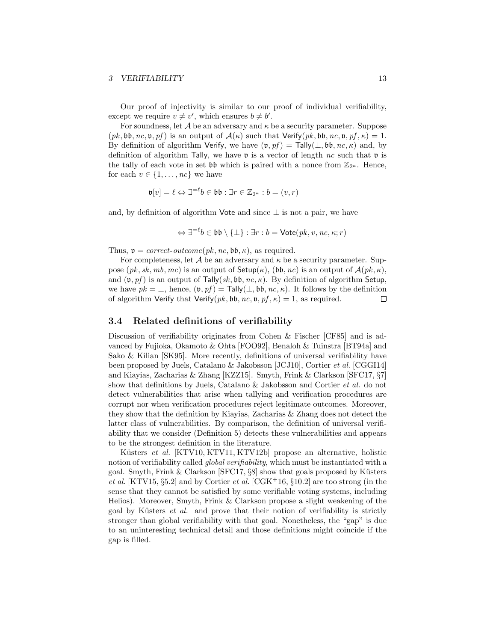#### 3 VERIFIABILITY 13

Our proof of injectivity is similar to our proof of individual verifiability, except we require  $v \neq v'$ , which ensures  $b \neq b'$ .

For soundness, let  $\mathcal A$  be an adversary and  $\kappa$  be a security parameter. Suppose  $(pk, bb, nc, v, pf)$  is an output of  $\mathcal{A}(\kappa)$  such that Verify $(pk, bb, nc, v, pf, \kappa) = 1$ . By definition of algorithm Verify, we have  $(\mathfrak{v}, pf) = \text{Tally}(\perp, \mathfrak{bb}, nc, \kappa)$  and, by definition of algorithm Tally, we have  $v$  is a vector of length nc such that  $v$  is the tally of each vote in set bb which is paired with a nonce from  $\mathbb{Z}_{2^{\kappa}}$ . Hence, for each  $v \in \{1, \ldots, nc\}$  we have

$$
\mathfrak{v}[v] = \ell \Leftrightarrow \exists^{=\ell} b \in \mathfrak{bb} : \exists r \in \mathbb{Z}_{2^\kappa} : b = (v,r)
$$

and, by definition of algorithm Vote and since  $\perp$  is not a pair, we have

$$
\Leftrightarrow \exists^{= \ell} b \in \mathfrak{bb} \setminus \{\bot\} : \exists r : b = \mathsf{Vote}(pk, v, nc, \kappa; r)
$$

Thus,  $\mathfrak{v} = correct\text{-}outcome(pk, nc, \mathfrak{bb}, \kappa)$ , as required.

For completeness, let  $\mathcal A$  be an adversary and  $\kappa$  be a security parameter. Suppose  $(pk, sk, mb, mc)$  is an output of  $Setup(\kappa)$ ,  $(bb, nc)$  is an output of  $A(pk, \kappa)$ , and  $(\mathfrak{v}, pf)$  is an output of Tally(sk,  $\mathfrak{bb}, nc, \kappa$ ). By definition of algorithm Setup, we have  $pk = \perp$ , hence,  $(\mathfrak{v}, pf) = \mathsf{Tally}(\perp, \mathfrak{bb}, nc, \kappa)$ . It follows by the definition of algorithm Verify that Verify $(pk, bb, nc, v, pf, \kappa) = 1$ , as required.  $\Box$ 

## 3.4 Related definitions of verifiability

Discussion of verifiability originates from Cohen & Fischer [CF85] and is advanced by Fujioka, Okamoto & Ohta [FOO92], Benaloh & Tuinstra [BT94a] and Sako & Kilian [SK95]. More recently, definitions of universal verifiability have been proposed by Juels, Catalano & Jakobsson [JCJ10], Cortier et al. [CGGI14] and Kiayias, Zacharias & Zhang [KZZ15]. Smyth, Frink & Clarkson [SFC17, §7] show that definitions by Juels, Catalano & Jakobsson and Cortier et al. do not detect vulnerabilities that arise when tallying and verification procedures are corrupt nor when verification procedures reject legitimate outcomes. Moreover, they show that the definition by Kiayias, Zacharias & Zhang does not detect the latter class of vulnerabilities. By comparison, the definition of universal verifiability that we consider (Definition 5) detects these vulnerabilities and appears to be the strongest definition in the literature.

Küsters et al. [KTV10, KTV11, KTV12b] propose an alternative, holistic notion of verifiability called global verifiability, which must be instantiated with a goal. Smyth, Frink  $& Clarkson$  [SFC17,  $\S 8$ ] show that goals proposed by Küsters et al. [KTV15,  $\S 5.2$ ] and by Cortier et al. [CGK+16,  $\S 10.2$ ] are too strong (in the sense that they cannot be satisfied by some verifiable voting systems, including Helios). Moreover, Smyth, Frink & Clarkson propose a slight weakening of the goal by Küsters  $et \ al.$  and prove that their notion of verifiability is strictly stronger than global verifiability with that goal. Nonetheless, the "gap" is due to an uninteresting technical detail and those definitions might coincide if the gap is filled.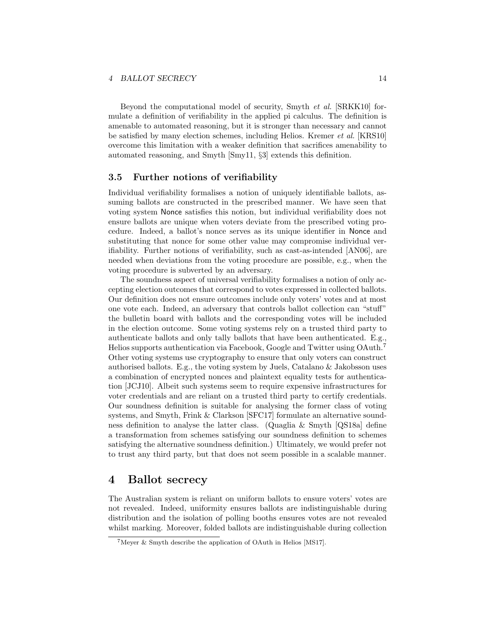Beyond the computational model of security, Smyth et al. [SRKK10] formulate a definition of verifiability in the applied pi calculus. The definition is amenable to automated reasoning, but it is stronger than necessary and cannot be satisfied by many election schemes, including Helios. Kremer et al. [KRS10] overcome this limitation with a weaker definition that sacrifices amenability to automated reasoning, and Smyth [Smy11, §3] extends this definition.

## 3.5 Further notions of verifiability

Individual verifiability formalises a notion of uniquely identifiable ballots, assuming ballots are constructed in the prescribed manner. We have seen that voting system Nonce satisfies this notion, but individual verifiability does not ensure ballots are unique when voters deviate from the prescribed voting procedure. Indeed, a ballot's nonce serves as its unique identifier in Nonce and substituting that nonce for some other value may compromise individual verifiability. Further notions of verifiability, such as cast-as-intended [AN06], are needed when deviations from the voting procedure are possible, e.g., when the voting procedure is subverted by an adversary.

The soundness aspect of universal verifiability formalises a notion of only accepting election outcomes that correspond to votes expressed in collected ballots. Our definition does not ensure outcomes include only voters' votes and at most one vote each. Indeed, an adversary that controls ballot collection can "stuff" the bulletin board with ballots and the corresponding votes will be included in the election outcome. Some voting systems rely on a trusted third party to authenticate ballots and only tally ballots that have been authenticated. E.g., Helios supports authentication via Facebook, Google and Twitter using OAuth.<sup>7</sup> Other voting systems use cryptography to ensure that only voters can construct authorised ballots. E.g., the voting system by Juels, Catalano  $\&$  Jakobsson uses a combination of encrypted nonces and plaintext equality tests for authentication [JCJ10]. Albeit such systems seem to require expensive infrastructures for voter credentials and are reliant on a trusted third party to certify credentials. Our soundness definition is suitable for analysing the former class of voting systems, and Smyth, Frink & Clarkson [SFC17] formulate an alternative soundness definition to analyse the latter class. (Quaglia & Smyth [QS18a] define a transformation from schemes satisfying our soundness definition to schemes satisfying the alternative soundness definition.) Ultimately, we would prefer not to trust any third party, but that does not seem possible in a scalable manner.

## 4 Ballot secrecy

The Australian system is reliant on uniform ballots to ensure voters' votes are not revealed. Indeed, uniformity ensures ballots are indistinguishable during distribution and the isolation of polling booths ensures votes are not revealed whilst marking. Moreover, folded ballots are indistinguishable during collection

<sup>7</sup>Meyer & Smyth describe the application of OAuth in Helios [MS17].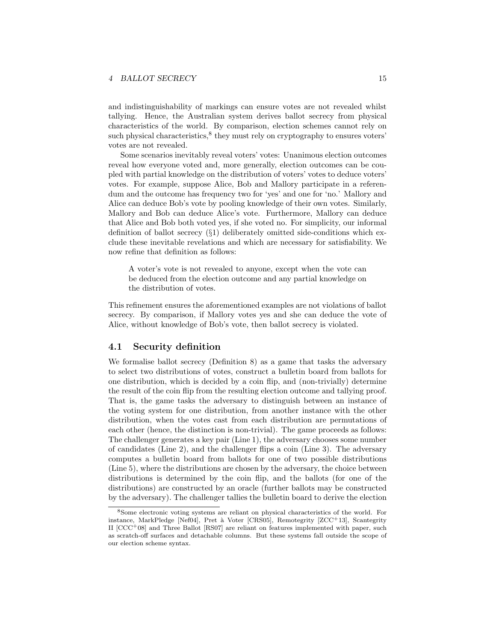and indistinguishability of markings can ensure votes are not revealed whilst tallying. Hence, the Australian system derives ballot secrecy from physical characteristics of the world. By comparison, election schemes cannot rely on such physical characteristics,<sup>8</sup> they must rely on cryptography to ensures voters' votes are not revealed.

Some scenarios inevitably reveal voters' votes: Unanimous election outcomes reveal how everyone voted and, more generally, election outcomes can be coupled with partial knowledge on the distribution of voters' votes to deduce voters' votes. For example, suppose Alice, Bob and Mallory participate in a referendum and the outcome has frequency two for 'yes' and one for 'no.' Mallory and Alice can deduce Bob's vote by pooling knowledge of their own votes. Similarly, Mallory and Bob can deduce Alice's vote. Furthermore, Mallory can deduce that Alice and Bob both voted yes, if she voted no. For simplicity, our informal definition of ballot secrecy (§1) deliberately omitted side-conditions which exclude these inevitable revelations and which are necessary for satisfiability. We now refine that definition as follows:

A voter's vote is not revealed to anyone, except when the vote can be deduced from the election outcome and any partial knowledge on the distribution of votes.

This refinement ensures the aforementioned examples are not violations of ballot secrecy. By comparison, if Mallory votes yes and she can deduce the vote of Alice, without knowledge of Bob's vote, then ballot secrecy is violated.

## 4.1 Security definition

We formalise ballot secrecy (Definition 8) as a game that tasks the adversary to select two distributions of votes, construct a bulletin board from ballots for one distribution, which is decided by a coin flip, and (non-trivially) determine the result of the coin flip from the resulting election outcome and tallying proof. That is, the game tasks the adversary to distinguish between an instance of the voting system for one distribution, from another instance with the other distribution, when the votes cast from each distribution are permutations of each other (hence, the distinction is non-trivial). The game proceeds as follows: The challenger generates a key pair (Line 1), the adversary chooses some number of candidates (Line 2), and the challenger flips a coin (Line 3). The adversary computes a bulletin board from ballots for one of two possible distributions (Line 5), where the distributions are chosen by the adversary, the choice between distributions is determined by the coin flip, and the ballots (for one of the distributions) are constructed by an oracle (further ballots may be constructed by the adversary). The challenger tallies the bulletin board to derive the election

<sup>8</sup>Some electronic voting systems are reliant on physical characteristics of the world. For instance, MarkPledge [Nef04], Pret à Voter [CRS05], Remotegrity [ $ZCC+13$ ], Scantegrity II  $[CCC+08]$  and Three Ballot  $[RS07]$  are reliant on features implemented with paper, such as scratch-off surfaces and detachable columns. But these systems fall outside the scope of our election scheme syntax.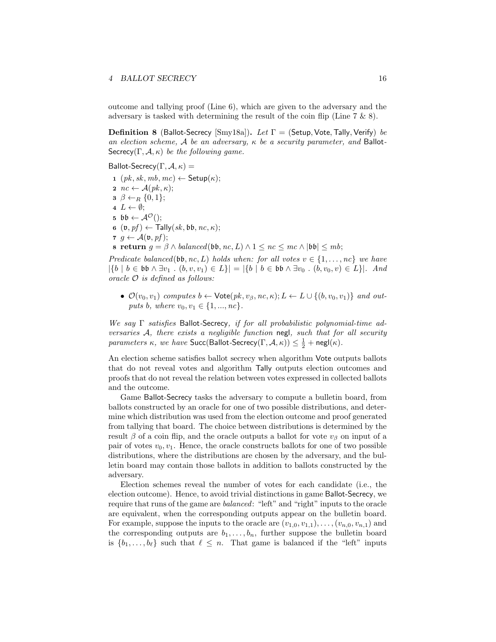outcome and tallying proof (Line 6), which are given to the adversary and the adversary is tasked with determining the result of the coin flip (Line 7 & 8).

**Definition 8** (Ballot-Secrecy [Smy18a]). Let  $\Gamma$  = (Setup, Vote, Tally, Verify) be an election scheme, A be an adversary,  $\kappa$  be a security parameter, and Ballot-Secrecy(Γ,  $A, \kappa$ ) be the following game.

Ballot-Secrecy(Γ,  $A, \kappa$ ) =

1  $(pk, sk, mb, mc) \leftarrow$  Setup $(\kappa);$ 2  $nc \leftarrow \mathcal{A}(pk, \kappa);$  $\mathbf{3} \ \beta \leftarrow_R \{0,1\};$  $4 L \leftarrow \emptyset;$ 5  $\mathfrak{bb} \leftarrow \mathcal{A}^{\mathcal{O}}$ ();  $\mathfrak{g}$   $(\mathfrak{v}, pf) \leftarrow \textsf{Tally}(sk, \mathfrak{bb}, nc, \kappa);$  $\tau \, g \leftarrow \mathcal{A}(\mathfrak{v}, pf);$ 8 return  $g = \beta \wedge balanced(b\mathfrak{b}, nc, L) \wedge 1 \leq nc \leq mc \wedge |b\mathfrak{b}| \leq mb;$ Predicate balanced(bb, nc, L) holds when: for all votes  $v \in \{1, \ldots, nc\}$  we have

 $|\{b \mid b \in \mathfrak{bb} \land \exists v_1 \cdot (b, v, v_1) \in L\}| = |\{b \mid b \in \mathfrak{bb} \land \exists v_0 \cdot (b, v_0, v) \in L\}|$ . And oracle  $\mathcal O$  is defined as follows:

•  $\mathcal{O}(v_0, v_1)$  computes  $b \leftarrow \text{Vote}(pk, v_\beta, nc, \kappa); L \leftarrow L \cup \{(b, v_0, v_1)\}$  and outputs b, where  $v_0, v_1 \in \{1, ..., nc\}$ .

We say  $\Gamma$  satisfies Ballot-Secrecy, if for all probabilistic polynomial-time adversaries A, there exists a negligible function negl, such that for all security *parameters*  $\kappa$ , we have  $\mathsf{Succ}(\mathsf{Ballot\text{-}Secrecy}(\Gamma,\mathcal{A},\kappa)) \leq \frac{1}{2} + \mathsf{negl}(\kappa)$ .

An election scheme satisfies ballot secrecy when algorithm Vote outputs ballots that do not reveal votes and algorithm Tally outputs election outcomes and proofs that do not reveal the relation between votes expressed in collected ballots and the outcome.

Game Ballot-Secrecy tasks the adversary to compute a bulletin board, from ballots constructed by an oracle for one of two possible distributions, and determine which distribution was used from the election outcome and proof generated from tallying that board. The choice between distributions is determined by the result  $\beta$  of a coin flip, and the oracle outputs a ballot for vote  $v_{\beta}$  on input of a pair of votes  $v_0, v_1$ . Hence, the oracle constructs ballots for one of two possible distributions, where the distributions are chosen by the adversary, and the bulletin board may contain those ballots in addition to ballots constructed by the adversary.

Election schemes reveal the number of votes for each candidate (i.e., the election outcome). Hence, to avoid trivial distinctions in game Ballot-Secrecy, we require that runs of the game are balanced: "left" and "right" inputs to the oracle are equivalent, when the corresponding outputs appear on the bulletin board. For example, suppose the inputs to the oracle are  $(v_{1,0}, v_{1,1}), \ldots, (v_{n,0}, v_{n,1})$  and the corresponding outputs are  $b_1, \ldots, b_n$ , further suppose the bulletin board is  $\{b_1, \ldots, b_\ell\}$  such that  $\ell \leq n$ . That game is balanced if the "left" inputs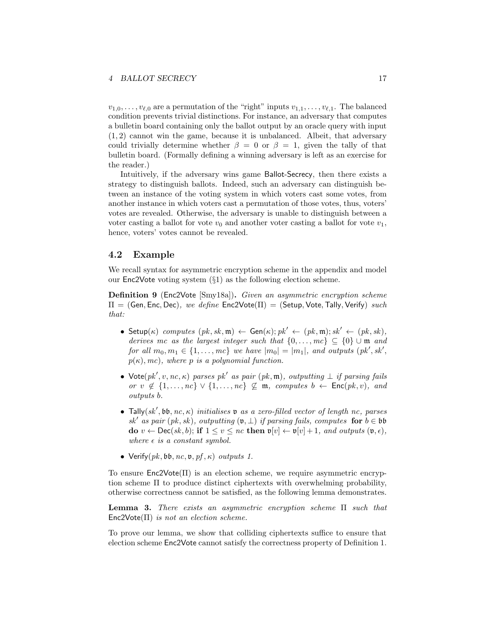$v_{1,0}, \ldots, v_{\ell,0}$  are a permutation of the "right" inputs  $v_{1,1}, \ldots, v_{\ell,1}$ . The balanced condition prevents trivial distinctions. For instance, an adversary that computes a bulletin board containing only the ballot output by an oracle query with input  $(1, 2)$  cannot win the game, because it is unbalanced. Albeit, that adversary could trivially determine whether  $\beta = 0$  or  $\beta = 1$ , given the tally of that bulletin board. (Formally defining a winning adversary is left as an exercise for the reader.)

Intuitively, if the adversary wins game Ballot-Secrecy, then there exists a strategy to distinguish ballots. Indeed, such an adversary can distinguish between an instance of the voting system in which voters cast some votes, from another instance in which voters cast a permutation of those votes, thus, voters' votes are revealed. Otherwise, the adversary is unable to distinguish between a voter casting a ballot for vote  $v_0$  and another voter casting a ballot for vote  $v_1$ , hence, voters' votes cannot be revealed.

### 4.2 Example

We recall syntax for asymmetric encryption scheme in the appendix and model our Enc2Vote voting system (§1) as the following election scheme.

Definition 9 (Enc2Vote [Smy18a]). Given an asymmetric encryption scheme  $\Pi = (Gen, Enc, Dec),$  we define  $Enc2Vote(\Pi) = (Setup, Vote, Tally, Verify)$  such that:

- Setup(κ) computes  $(pk, sk, m) \leftarrow Gen(\kappa); pk' \leftarrow (pk, m); sk' \leftarrow (pk, sk),$ derives mc as the largest integer such that  $\{0, \ldots, mc\} \subseteq \{0\} \cup \mathfrak{m}$  and for all  $m_0, m_1 \in \{1, ..., mc\}$  we have  $|m_0| = |m_1|$ , and outputs  $(pk', sk',$  $p(\kappa), mc$ , where p is a polynomial function.
- Vote( $pk', v, nc, \kappa$ ) parses pk' as pair (pk, m), outputting  $\perp$  if parsing fails or  $v \notin \{1, \ldots, nc\} \vee \{1, \ldots, nc\} \not\subseteq \mathfrak{m}$ , computes  $b \leftarrow \mathsf{Enc}(pk, v)$ , and outputs b.
- Tally(sk', bb,  $nc, \kappa$ ) initialises v as a zero-filled vector of length nc, parses sk' as pair  $(pk, sk)$ , outputting  $(v, \perp)$  if parsing fails, computes for  $b \in \mathfrak{bb}$ do  $v \leftarrow \text{Dec}(sk, b)$ ; if  $1 \le v \le nc$  then  $\mathfrak{v}[v] \leftarrow \mathfrak{v}[v] + 1$ , and outputs  $(\mathfrak{v}, \epsilon)$ , where  $\epsilon$  is a constant symbol.
- Verify $(pk, bb, nc, v, pf, \kappa)$  outputs 1.

To ensure  $Enc2Vote(\Pi)$  is an election scheme, we require asymmetric encryption scheme Π to produce distinct ciphertexts with overwhelming probability, otherwise correctness cannot be satisfied, as the following lemma demonstrates.

Lemma 3. There exists an asymmetric encryption scheme Π such that  $Enc2Vote(\Pi)$  is not an election scheme.

To prove our lemma, we show that colliding ciphertexts suffice to ensure that election scheme Enc2Vote cannot satisfy the correctness property of Definition 1.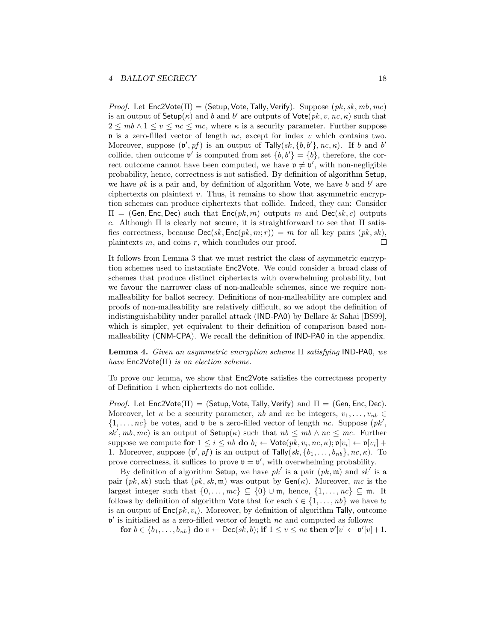*Proof.* Let  $Enc2Vote(\Pi) = (Setup, Vote, Tally, Verify)$ . Suppose  $(pk, sk, mb, mc)$ is an output of  $\mathsf{Setup}(\kappa)$  and b and b' are outputs of  $\mathsf{Vote}(pk, v, nc, \kappa)$  such that  $2 \leq mb \wedge 1 \leq v \leq nc \leq mc$ , where  $\kappa$  is a security parameter. Further suppose  $\nu$  is a zero-filled vector of length nc, except for index v which contains two. Moreover, suppose  $(\mathfrak{v}', pf)$  is an output of Tally $(sk, \{b, b'\}, nc, \kappa)$ . If b and b' collide, then outcome  $v'$  is computed from set  $\{b, b'\} = \{b\}$ , therefore, the correct outcome cannot have been computed, we have  $\mathfrak{v} \neq \mathfrak{v}'$ , with non-negligible probability, hence, correctness is not satisfied. By definition of algorithm Setup, we have  $pk$  is a pair and, by definition of algorithm Vote, we have  $b$  and  $b'$  are ciphertexts on plaintext  $v$ . Thus, it remains to show that asymmetric encryption schemes can produce ciphertexts that collide. Indeed, they can: Consider  $\Pi = (Gen, Enc, Dec)$  such that  $Enc(pk, m)$  outputs m and  $Dec(sk, c)$  outputs c. Although  $\Pi$  is clearly not secure, it is straightforward to see that  $\Pi$  satisfies correctness, because  $\text{Dec}(sk, \text{Enc}(pk, m; r)) = m$  for all key pairs  $(pk, sk)$ , plaintexts  $m$ , and coins  $r$ , which concludes our proof.  $\Box$ 

It follows from Lemma 3 that we must restrict the class of asymmetric encryption schemes used to instantiate Enc2Vote. We could consider a broad class of schemes that produce distinct ciphertexts with overwhelming probability, but we favour the narrower class of non-malleable schemes, since we require nonmalleability for ballot secrecy. Definitions of non-malleability are complex and proofs of non-malleability are relatively difficult, so we adopt the definition of indistinguishability under parallel attack (IND-PA0) by Bellare & Sahai [BS99], which is simpler, yet equivalent to their definition of comparison based nonmalleability (CNM-CPA). We recall the definition of IND-PA0 in the appendix.

Lemma 4. Given an asymmetric encryption scheme Π satisfying IND-PA0, we have  $Enc2Vote(\Pi)$  is an election scheme.

To prove our lemma, we show that Enc2Vote satisfies the correctness property of Definition 1 when ciphertexts do not collide.

*Proof.* Let  $Enc2Vote(\Pi) = (Setup, Vote, Tally, Verify)$  and  $\Pi = (Gen, Enc, Dec)$ . Moreover, let  $\kappa$  be a security parameter, nb and nc be integers,  $v_1, \ldots, v_{nb} \in$  $\{1, \ldots, nc\}$  be votes, and **v** be a zero-filled vector of length nc. Suppose  $(pk',$  $sk', mb, mc)$  is an output of  $\mathsf{Setup}(\kappa)$  such that  $nb \le mb \wedge nc \le mc$ . Further suppose we compute for  $1 \leq i \leq nb$  do  $b_i \leftarrow \text{Vote}(pk, v_i, nc, \kappa); \mathfrak{v}[v_i] \leftarrow \mathfrak{v}[v_i] +$ 1. Moreover, suppose  $(\mathfrak{v}', pf)$  is an output of Tally $(sk, \{b_1, \ldots, b_{nb}\}, nc, \kappa)$ . To prove correctness, it suffices to prove  $\mathfrak{v} = \mathfrak{v}'$ , with overwhelming probability.

By definition of algorithm Setup, we have  $pk'$  is a pair  $(pk, \mathfrak{m})$  and  $sk'$  is a pair  $(pk, sk)$  such that  $(pk, sk, \mathfrak{m})$  was output by  $Gen(\kappa)$ . Moreover, mc is the largest integer such that  $\{0, \ldots, mc\} \subseteq \{0\} \cup \mathfrak{m}$ , hence,  $\{1, \ldots, nc\} \subseteq \mathfrak{m}$ . It follows by definition of algorithm Vote that for each  $i \in \{1, \ldots, nb\}$  we have  $b_i$ is an output of  $Enc(pk, v_i)$ . Moreover, by definition of algorithm Tally, outcome  $v'$  is initialised as a zero-filled vector of length nc and computed as follows:

for  $b \in \{b_1, \ldots, b_{nb}\}$  do  $v \leftarrow \mathsf{Dec}(sk, b)$ ; if  $1 \le v \le nc$  then  $\mathfrak{v}'[v] \leftarrow \mathfrak{v}'[v] + 1$ .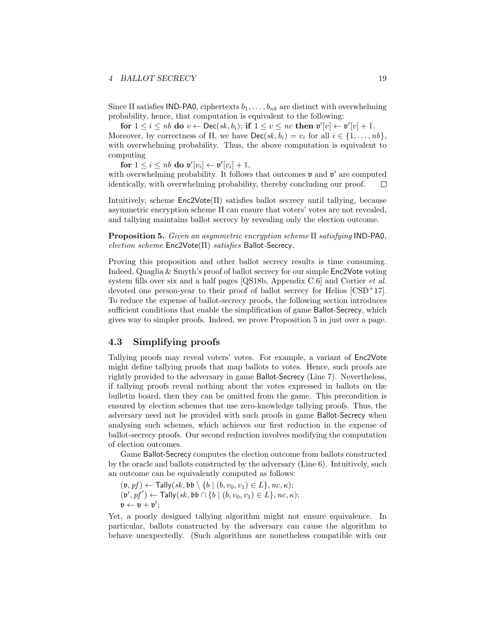Since  $\Pi$  satisfies IND-PA0, ciphertexts  $b_1, \ldots, b_{nb}$  are distinct with overwhelming probability, hence, that computation is equivalent to the following:

for  $1 \leq i \leq nb$  do  $v \leftarrow \mathsf{Dec}(sk, b_i)$ ; if  $1 \leq v \leq nc$  then  $\mathfrak{v}'[v] \leftarrow \mathfrak{v}'[v] + 1$ . Moreover, by correctness of  $\Pi$ , we have  $\mathsf{Dec}(sk, b_i) = v_i$  for all  $i \in \{1, \ldots, nb\}$ , with overwhelming probability. Thus, the above computation is equivalent to computing

for  $1 \leq i \leq nb$  do  $\mathfrak{v}'[v_i] \leftarrow \mathfrak{v}'[v_i] + 1$ ,

with overwhelming probability. It follows that outcomes  $\nu$  and  $\nu'$  are computed identically, with overwhelming probability, thereby concluding our proof.  $\Box$ 

Intuitively, scheme  $Enc2Vote(\Pi)$  satisfies ballot secrecy until tallying, because asymmetric encryption scheme Π can ensure that voters' votes are not revealed, and tallying maintains ballot secrecy by revealing only the election outcome.

Proposition 5. Given an asymmetric encryption scheme Π satisfying IND-PA0, election scheme Enc2Vote(Π) satisfies Ballot-Secrecy.

Proving this proposition and other ballot secrecy results is time consuming. Indeed, Quaglia & Smyth's proof of ballot secrecy for our simple Enc2Vote voting system fills over six and a half pages [QS18b, Appendix C.6] and Cortier et al. devoted one person-year to their proof of ballot secrecy for Helios [CSD+17]. To reduce the expense of ballot-secrecy proofs, the following section introduces sufficient conditions that enable the simplification of game Ballot-Secrecy, which gives way to simpler proofs. Indeed, we prove Proposition 5 in just over a page.

## 4.3 Simplifying proofs

Tallying proofs may reveal voters' votes. For example, a variant of Enc2Vote might define tallying proofs that map ballots to votes. Hence, such proofs are rightly provided to the adversary in game Ballot-Secrecy (Line 7). Nevertheless, if tallying proofs reveal nothing about the votes expressed in ballots on the bulletin board, then they can be omitted from the game. This precondition is ensured by election schemes that use zero-knowledge tallying proofs. Thus, the adversary need not be provided with such proofs in game Ballot-Secrecy when analysing such schemes, which achieves our first reduction in the expense of ballot-secrecy proofs. Our second reduction involves modifying the computation of election outcomes.

Game Ballot-Secrecy computes the election outcome from ballots constructed by the oracle and ballots constructed by the adversary (Line 6). Intuitively, such an outcome can be equivalently computed as follows:

 $(v, pf) \leftarrow \textsf{Tally}(sk, bb \setminus \{b \mid (b, v_0, v_1) \in L\}, nc, \kappa);$  $(\mathfrak{v}', pf') \leftarrow \mathsf{Tally}(sk, \mathfrak{bb} \cap \{b \mid (b, v_0, v_1) \in L\}, nc, \kappa);$  $\mathfrak{v} \leftarrow \mathfrak{v} + \mathfrak{v}';$ 

Yet, a poorly designed tallying algorithm might not ensure equivalence. In particular, ballots constructed by the adversary can cause the algorithm to behave unexpectedly. (Such algorithms are nonetheless compatible with our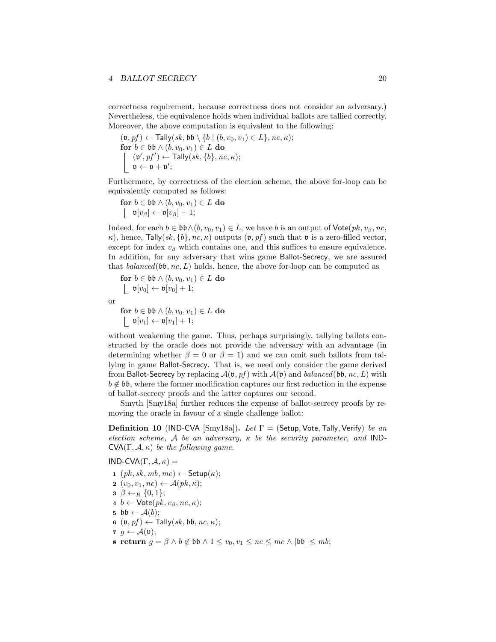correctness requirement, because correctness does not consider an adversary.) Nevertheless, the equivalence holds when individual ballots are tallied correctly. Moreover, the above computation is equivalent to the following:

$$
(\mathfrak{v}, pf) \leftarrow \text{Tally}(sk, \mathfrak{bb} \setminus \{b \mid (b, v_0, v_1) \in L\}, nc, \kappa);
$$
  
for  $b \in \mathfrak{bb} \land (b, v_0, v_1) \in L$  do  

$$
\begin{cases} (\mathfrak{v}', pf') \leftarrow \text{Tally}(sk, \{b\}, nc, \kappa); \\ \mathfrak{v} \leftarrow \mathfrak{v} + \mathfrak{v}'; \end{cases}
$$

Furthermore, by correctness of the election scheme, the above for-loop can be equivalently computed as follows:

$$
\begin{array}{l}\n\textbf{for } b \in \mathfrak{bb} \land (b, v_0, v_1) \in L \textbf{ do} \\
\downarrow \mathfrak{v}[v_\beta] \leftarrow \mathfrak{v}[v_\beta] + 1;\n\end{array}
$$

Indeed, for each  $b \in \mathfrak{bb} \wedge (b, v_0, v_1) \in L$ , we have b is an output of  $\mathsf{Vote}(pk, v_\beta, nc,$  $\kappa$ ), hence, Tally(sk, {b}, nc,  $\kappa$ ) outputs (v, pf) such that v is a zero-filled vector, except for index  $v<sub>β</sub>$  which contains one, and this suffices to ensure equivalence. In addition, for any adversary that wins game Ballot-Secrecy, we are assured that *balanced*( $\mathfrak{bb}, n_c, L$ ) holds, hence, the above for-loop can be computed as

**for** 
$$
b \in \mathfrak{bb} \wedge (b, v_0, v_1) \in L
$$
 **do**  $\vert \mathfrak{v}[v_0] \leftarrow \mathfrak{v}[v_0] + 1;$ 

or

for  $b \in \mathfrak{bb} \wedge (b, v_0, v_1) \in L$  do  $\mathfrak{v}[v_1] \leftarrow \mathfrak{v}[v_1] + 1;$ 

without weakening the game. Thus, perhaps surprisingly, tallying ballots constructed by the oracle does not provide the adversary with an advantage (in determining whether  $\beta = 0$  or  $\beta = 1$ ) and we can omit such ballots from tallying in game Ballot-Secrecy. That is, we need only consider the game derived from Ballot-Secrecy by replacing  $A(\mathfrak{v}, pf)$  with  $A(\mathfrak{v})$  and balanced(bb, nc, L) with  $b \notin \mathfrak{bb}$ , where the former modification captures our first reduction in the expense of ballot-secrecy proofs and the latter captures our second.

Smyth [Smy18a] further reduces the expense of ballot-secrecy proofs by removing the oracle in favour of a single challenge ballot:

**Definition 10** (IND-CVA [Smy18a]). Let  $\Gamma$  = (Setup, Vote, Tally, Verify) be an election scheme, A be an adversary,  $\kappa$  be the security parameter, and IND- $\mathsf{CVA}(\Gamma, \mathcal{A}, \kappa)$  be the following game.

#### IND-CVA $(\Gamma, \mathcal{A}, \kappa)$  =

- 1  $(pk, sk, mb, mc) \leftarrow$  Setup $(\kappa)$ ;
- 2  $(v_0, v_1, nc) \leftarrow \mathcal{A}(pk, \kappa);$
- $\mathbf{3} \ \beta \leftarrow_R \{0,1\};$
- 4  $b \leftarrow \text{Vote}(pk, v_{\beta}, nc, \kappa);$
- 5  $\mathfrak{bb} \leftarrow \mathcal{A}(b);$
- $\mathfrak{g}$   $(\mathfrak{v}, pf) \leftarrow \text{Tally}(sk, \mathfrak{bb}, nc, \kappa);$
- $\tau$   $g \leftarrow \mathcal{A}(\mathfrak{v});$
- **8 return**  $g = \beta \land b \notin \mathfrak{bb} \land 1 \leq v_0, v_1 \leq nc \leq mc \land |\mathfrak{bb}| \leq mb;$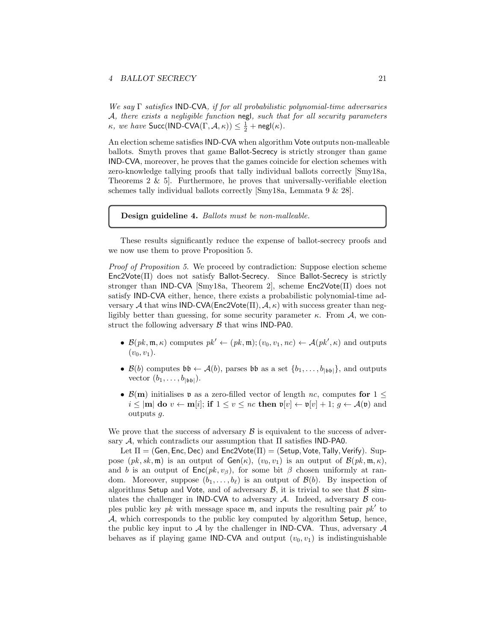We say  $\Gamma$  satisfies IND-CVA, if for all probabilistic polynomial-time adversaries A, there exists a negligible function negl, such that for all security parameters  $\kappa$ , we have Succ(IND-CVA( $\Gamma$ ,  $\mathcal{A}$ ,  $\kappa$ ))  $\leq \frac{1}{2} + \mathsf{negl}(\kappa)$ .

An election scheme satisfies IND-CVA when algorithm Vote outputs non-malleable ballots. Smyth proves that game Ballot-Secrecy is strictly stronger than game IND-CVA, moreover, he proves that the games coincide for election schemes with zero-knowledge tallying proofs that tally individual ballots correctly [Smy18a, Theorems  $2 \& 5$ . Furthermore, he proves that universally-verifiable election schemes tally individual ballots correctly [Smy18a, Lemmata 9 & 28].

#### Design guideline 4. Ballots must be non-malleable.

These results significantly reduce the expense of ballot-secrecy proofs and we now use them to prove Proposition 5.

Proof of Proposition 5. We proceed by contradiction: Suppose election scheme Enc2Vote(Π) does not satisfy Ballot-Secrecy. Since Ballot-Secrecy is strictly stronger than IND-CVA [Smy18a, Theorem 2], scheme Enc2Vote(Π) does not satisfy IND-CVA either, hence, there exists a probabilistic polynomial-time adversary A that wins IND-CVA( $\text{Enc2Vote}(\Pi)$ ,  $\mathcal{A}, \kappa$ ) with success greater than negligibly better than guessing, for some security parameter  $\kappa$ . From  $\mathcal{A}$ , we construct the following adversary  $\beta$  that wins IND-PA0.

- $\mathcal{B}(pk, \mathfrak{m}, \kappa)$  computes  $pk' \leftarrow (pk, \mathfrak{m}); (v_0, v_1, nc) \leftarrow \mathcal{A}(pk', \kappa)$  and outputs  $(v_0, v_1)$ .
- $\mathcal{B}(b)$  computes  $\mathfrak{bb} \leftarrow \mathcal{A}(b)$ , parses  $\mathfrak{bb}$  as a set  $\{b_1, \ldots, b_{|\mathfrak{bb}|}\}\$ , and outputs vector  $(b_1, \ldots, b_{|\mathfrak{bb}|}).$
- $\mathcal{B}(m)$  initialises v as a zero-filled vector of length nc, computes for  $1 \leq$  $i \leq |\mathbf{m}|$  do  $v \leftarrow \mathbf{m}[i]$ ; if  $1 \leq v \leq nc$  then  $\mathfrak{v}[v] \leftarrow \mathfrak{v}[v] + 1$ ;  $g \leftarrow \mathcal{A}(\mathfrak{v})$  and outputs g.

We prove that the success of adversary  $\beta$  is equivalent to the success of adversary A, which contradicts our assumption that Π satisfies IND-PA0.

Let  $\Pi = (Gen, Enc, Dec)$  and  $Enc2Vote(\Pi) = (Setup, Vote, Tally, Verify)$ . Suppose  $(pk, sk, \mathfrak{m})$  is an output of  $Gen(\kappa), (v_0, v_1)$  is an output of  $B(pk, \mathfrak{m}, \kappa)$ , and b is an output of  $Enc(pk, v_{\beta})$ , for some bit  $\beta$  chosen uniformly at random. Moreover, suppose  $(b_1, \ldots, b_\ell)$  is an output of  $\mathcal{B}(b)$ . By inspection of algorithms Setup and Vote, and of adversary  $\mathcal{B}$ , it is trivial to see that  $\mathcal{B}$  simulates the challenger in IND-CVA to adversary  $A$ . Indeed, adversary  $B$  couples public key pk with message space  $\mathfrak{m}$ , and inputs the resulting pair pk' to A, which corresponds to the public key computed by algorithm Setup, hence, the public key input to A by the challenger in **IND-CVA**. Thus, adversary  $\mathcal A$ behaves as if playing game **IND-CVA** and output  $(v_0, v_1)$  is indistinguishable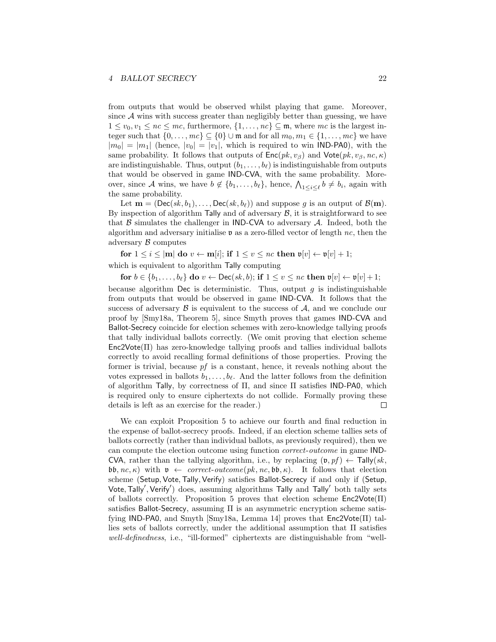from outputs that would be observed whilst playing that game. Moreover, since  $A$  wins with success greater than negligibly better than guessing, we have  $1 \le v_0, v_1 \le nc \le mc$ , furthermore,  $\{1, \ldots, nc\} \subseteq \mathfrak{m}$ , where mc is the largest integer such that  $\{0, \ldots, mc\} \subseteq \{0\} \cup \mathfrak{m}$  and for all  $m_0, m_1 \in \{1, \ldots, mc\}$  we have  $|m_0| = |m_1|$  (hence,  $|v_0| = |v_1|$ , which is required to win **IND-PA0**), with the same probability. It follows that outputs of  $\mathsf{Enc}(pk, v_{\beta})$  and  $\mathsf{Vote}(pk, v_{\beta}, nc, \kappa)$ are indistinguishable. Thus, output  $(b_1, \ldots, b_\ell)$  is indistinguishable from outputs that would be observed in game IND-CVA, with the same probability. Moreover, since A wins, we have  $b \notin \{b_1, \ldots, b_\ell\}$ , hence,  $\bigwedge_{1 \leq i \leq \ell} b \neq b_i$ , again with the same probability.

Let  $\mathbf{m} = (\mathsf{Dec}(sk, b_1), \dots, \mathsf{Dec}(sk, b_\ell))$  and suppose g is an output of  $\mathcal{B}(\mathbf{m})$ . By inspection of algorithm Tally and of adversary  $\beta$ , it is straightforward to see that  $\beta$  simulates the challenger in IND-CVA to adversary  $\mathcal{A}$ . Indeed, both the algorithm and adversary initialise  $\mathfrak v$  as a zero-filled vector of length nc, then the adversary  $\beta$  computes

for  $1 \leq i \leq |\mathbf{m}|$  do  $v \leftarrow \mathbf{m}[i]$ ; if  $1 \leq v \leq nc$  then  $\mathfrak{v}[v] \leftarrow \mathfrak{v}[v] + 1$ ; which is equivalent to algorithm Tally computing

for  $b \in \{b_1, \ldots, b_\ell\}$  do  $v \leftarrow \text{Dec}(sk, b)$ ; if  $1 \le v \le nc$  then  $\mathfrak{v}[v] \leftarrow \mathfrak{v}[v] + 1$ ;

because algorithm Dec is deterministic. Thus, output  $q$  is indistinguishable from outputs that would be observed in game IND-CVA. It follows that the success of adversary  $\beta$  is equivalent to the success of  $\mathcal{A}$ , and we conclude our proof by [Smy18a, Theorem 5], since Smyth proves that games IND-CVA and Ballot-Secrecy coincide for election schemes with zero-knowledge tallying proofs that tally individual ballots correctly. (We omit proving that election scheme  $Enc2Vote(\Pi)$  has zero-knowledge tallying proofs and tallies individual ballots correctly to avoid recalling formal definitions of those properties. Proving the former is trivial, because pf is a constant, hence, it reveals nothing about the votes expressed in ballots  $b_1, \ldots, b_\ell$ . And the latter follows from the definition of algorithm Tally, by correctness of Π, and since Π satisfies IND-PA0, which is required only to ensure ciphertexts do not collide. Formally proving these details is left as an exercise for the reader.)  $\Box$ 

We can exploit Proposition 5 to achieve our fourth and final reduction in the expense of ballot-secrecy proofs. Indeed, if an election scheme tallies sets of ballots correctly (rather than individual ballots, as previously required), then we can compute the election outcome using function correct-outcome in game IND-CVA, rather than the tallying algorithm, i.e., by replacing  $(\mathfrak{v}, pf) \leftarrow \text{Tally}(sk,$  $(b, nc, \kappa)$  with  $v \leftarrow correct-outcome(pk, nc, bb, \kappa)$ . It follows that election scheme (Setup, Vote,Tally, Verify) satisfies Ballot-Secrecy if and only if (Setup, Vote, Tally', Verify') does, assuming algorithms Tally and Tally' both tally sets of ballots correctly. Proposition 5 proves that election scheme  $Enc2Vote(\Pi)$ satisfies Ballot-Secrecy, assuming Π is an asymmetric encryption scheme satisfying IND-PA0, and Smyth [Smy18a, Lemma 14] proves that Enc2Vote(Π) tallies sets of ballots correctly, under the additional assumption that  $\Pi$  satisfies well-definedness, i.e., "ill-formed" ciphertexts are distinguishable from "well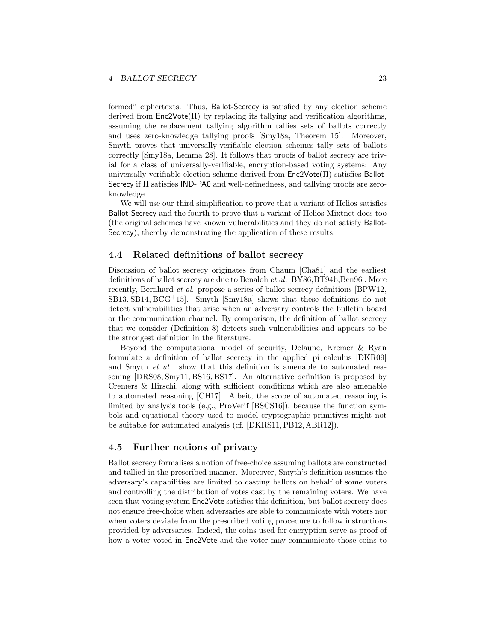formed" ciphertexts. Thus, Ballot-Secrecy is satisfied by any election scheme derived from  $Enc2Vote(\Pi)$  by replacing its tallying and verification algorithms, assuming the replacement tallying algorithm tallies sets of ballots correctly and uses zero-knowledge tallying proofs [Smy18a, Theorem 15]. Moreover, Smyth proves that universally-verifiable election schemes tally sets of ballots correctly [Smy18a, Lemma 28]. It follows that proofs of ballot secrecy are trivial for a class of universally-verifiable, encryption-based voting systems: Any universally-verifiable election scheme derived from Enc2Vote(Π) satisfies Ballot-Secrecy if Π satisfies IND-PA0 and well-definedness, and tallying proofs are zeroknowledge.

We will use our third simplification to prove that a variant of Helios satisfies Ballot-Secrecy and the fourth to prove that a variant of Helios Mixtnet does too (the original schemes have known vulnerabilities and they do not satisfy Ballot-Secrecy), thereby demonstrating the application of these results.

## 4.4 Related definitions of ballot secrecy

Discussion of ballot secrecy originates from Chaum [Cha81] and the earliest definitions of ballot secrecy are due to Benaloh *et al.* [BY86,BT94b,Ben96]. More recently, Bernhard *et al.* propose a series of ballot secrecy definitions [BPW12,  $SB13, SB14, BCG<sup>+</sup>15$ . Smyth [Smy18a] shows that these definitions do not detect vulnerabilities that arise when an adversary controls the bulletin board or the communication channel. By comparison, the definition of ballot secrecy that we consider (Definition 8) detects such vulnerabilities and appears to be the strongest definition in the literature.

Beyond the computational model of security, Delaune, Kremer & Ryan formulate a definition of ballot secrecy in the applied pi calculus [DKR09] and Smyth *et al.* show that this definition is amenable to automated reasoning [DRS08, Smy11, BS16, BS17]. An alternative definition is proposed by Cremers & Hirschi, along with sufficient conditions which are also amenable to automated reasoning [CH17]. Albeit, the scope of automated reasoning is limited by analysis tools (e.g., ProVerif [BSCS16]), because the function symbols and equational theory used to model cryptographic primitives might not be suitable for automated analysis (cf. [DKRS11,PB12, ABR12]).

## 4.5 Further notions of privacy

Ballot secrecy formalises a notion of free-choice assuming ballots are constructed and tallied in the prescribed manner. Moreover, Smyth's definition assumes the adversary's capabilities are limited to casting ballots on behalf of some voters and controlling the distribution of votes cast by the remaining voters. We have seen that voting system Enc2Vote satisfies this definition, but ballot secrecy does not ensure free-choice when adversaries are able to communicate with voters nor when voters deviate from the prescribed voting procedure to follow instructions provided by adversaries. Indeed, the coins used for encryption serve as proof of how a voter voted in Enc2Vote and the voter may communicate those coins to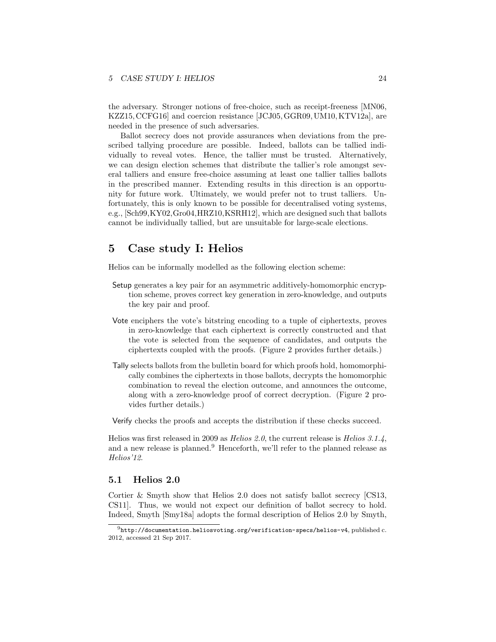the adversary. Stronger notions of free-choice, such as receipt-freeness [MN06, KZZ15, CCFG16] and coercion resistance [JCJ05,GGR09, UM10,KTV12a], are needed in the presence of such adversaries.

Ballot secrecy does not provide assurances when deviations from the prescribed tallying procedure are possible. Indeed, ballots can be tallied individually to reveal votes. Hence, the tallier must be trusted. Alternatively, we can design election schemes that distribute the tallier's role amongst several talliers and ensure free-choice assuming at least one tallier tallies ballots in the prescribed manner. Extending results in this direction is an opportunity for future work. Ultimately, we would prefer not to trust talliers. Unfortunately, this is only known to be possible for decentralised voting systems, e.g., [Sch99,KY02,Gro04,HRZ10,KSRH12], which are designed such that ballots cannot be individually tallied, but are unsuitable for large-scale elections.

# 5 Case study I: Helios

Helios can be informally modelled as the following election scheme:

- Setup generates a key pair for an asymmetric additively-homomorphic encryption scheme, proves correct key generation in zero-knowledge, and outputs the key pair and proof.
- Vote enciphers the vote's bitstring encoding to a tuple of ciphertexts, proves in zero-knowledge that each ciphertext is correctly constructed and that the vote is selected from the sequence of candidates, and outputs the ciphertexts coupled with the proofs. (Figure 2 provides further details.)
- Tally selects ballots from the bulletin board for which proofs hold, homomorphically combines the ciphertexts in those ballots, decrypts the homomorphic combination to reveal the election outcome, and announces the outcome, along with a zero-knowledge proof of correct decryption. (Figure 2 provides further details.)

Verify checks the proofs and accepts the distribution if these checks succeed.

Helios was first released in 2009 as Helios 2.0, the current release is Helios 3.1.4, and a new release is planned.<sup>9</sup> Henceforth, we'll refer to the planned release as Helios'12.

## 5.1 Helios 2.0

Cortier & Smyth show that Helios 2.0 does not satisfy ballot secrecy [CS13, CS11]. Thus, we would not expect our definition of ballot secrecy to hold. Indeed, Smyth [Smy18a] adopts the formal description of Helios 2.0 by Smyth,

 $^{9}$  http://documentation.heliosvoting.org/verification-specs/helios-v4, published c. 2012, accessed 21 Sep 2017.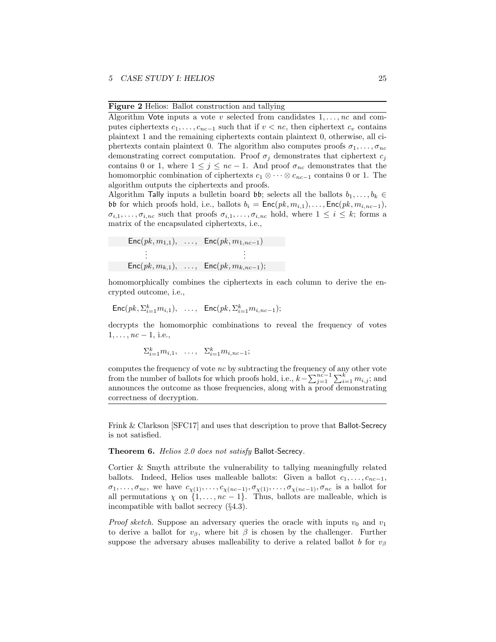#### 5 CASE STUDY I: HELIOS 25

#### Figure 2 Helios: Ballot construction and tallying

Algorithm Vote inputs a vote v selected from candidates  $1, \ldots, nc$  and computes ciphertexts  $c_1, \ldots, c_{nc-1}$  such that if  $v < nc$ , then ciphertext  $c_v$  contains plaintext 1 and the remaining ciphertexts contain plaintext 0, otherwise, all ciphertexts contain plaintext 0. The algorithm also computes proofs  $\sigma_1, \ldots, \sigma_{nc}$ demonstrating correct computation. Proof  $\sigma_j$  demonstrates that ciphertext  $c_j$ contains 0 or 1, where  $1 \leq j \leq nc - 1$ . And proof  $\sigma_{nc}$  demonstrates that the homomorphic combination of ciphertexts  $c_1 \otimes \cdots \otimes c_{nc-1}$  contains 0 or 1. The algorithm outputs the ciphertexts and proofs.

Algorithm Tally inputs a bulletin board bb; selects all the ballots  $b_1, \ldots, b_k \in$ bb for which proofs hold, i.e., ballots  $b_i = \text{Enc}(pk, m_{i,1}), \ldots, \text{Enc}(pk, m_{i,nc-1}),$  $\sigma_{i,1}, \ldots, \sigma_{i,nc}$  such that proofs  $\sigma_{i,1}, \ldots, \sigma_{i,nc}$  hold, where  $1 \leq i \leq k$ ; forms a matrix of the encapsulated ciphertexts, i.e.,

$$
\begin{array}{ll}\n\text{Enc}(pk, m_{1,1}), \quad \ldots, \quad \text{Enc}(pk, m_{1,nc-1}) \\
\vdots \\
\text{Enc}(pk, m_{k,1}), \quad \ldots, \quad \text{Enc}(pk, m_{k,nc-1});\n\end{array}
$$

homomorphically combines the ciphertexts in each column to derive the encrypted outcome, i.e.,

$$
\text{Enc}(pk, \Sigma_{i=1}^k m_{i,1}), \ldots, \text{Enc}(pk, \Sigma_{i=1}^k m_{i,nc-1});
$$

decrypts the homomorphic combinations to reveal the frequency of votes  $1, \ldots, nc - 1$ , i.e.,

$$
\sum_{i=1}^{k} m_{i,1}, \ldots, \sum_{i=1}^{k} m_{i,nc-1};
$$

computes the frequency of vote  $nc$  by subtracting the frequency of any other vote from the number of ballots for which proofs hold, i.e.,  $k - \sum_{j=1}^{n^c-1} \sum_{i=1}^k m_{i,j}$ ; and announces the outcome as those frequencies, along with a proof demonstrating correctness of decryption.

Frink & Clarkson [SFC17] and uses that description to prove that Ballot-Secrecy is not satisfied.

#### Theorem 6. Helios 2.0 does not satisfy Ballot-Secrecy.

Cortier & Smyth attribute the vulnerability to tallying meaningfully related ballots. Indeed, Helios uses malleable ballots: Given a ballot  $c_1, \ldots, c_{nc-1}$ ,  $\sigma_1, \ldots, \sigma_{nc}$ , we have  $c_{\chi(1)}, \ldots, c_{\chi(nc-1)}, \sigma_{\chi(1)}, \ldots, \sigma_{\chi(nc-1)}, \sigma_{nc}$  is a ballot for all permutations  $\chi$  on  $\{1, \ldots, nc - 1\}$ . Thus, ballots are malleable, which is incompatible with ballot secrecy (§4.3).

*Proof sketch.* Suppose an adversary queries the oracle with inputs  $v_0$  and  $v_1$ to derive a ballot for  $v_\beta$ , where bit  $\beta$  is chosen by the challenger. Further suppose the adversary abuses malleability to derive a related ballot b for  $v_\beta$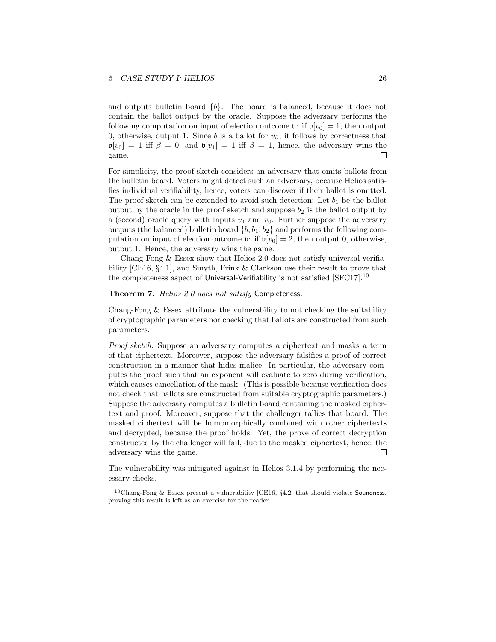and outputs bullet in board  $\{b\}$ . The board is balanced, because it does not contain the ballot output by the oracle. Suppose the adversary performs the following computation on input of election outcome v: if  $\nu[v_0] = 1$ , then output 0, otherwise, output 1. Since b is a ballot for  $v_{\beta}$ , it follows by correctness that  $\nu[v] = 1$  iff  $\beta = 0$ , and  $\nu[v_1] = 1$  iff  $\beta = 1$ , hence, the adversary wins the game.  $\Box$ 

For simplicity, the proof sketch considers an adversary that omits ballots from the bulletin board. Voters might detect such an adversary, because Helios satisfies individual verifiability, hence, voters can discover if their ballot is omitted. The proof sketch can be extended to avoid such detection: Let  $b_1$  be the ballot output by the oracle in the proof sketch and suppose  $b_2$  is the ballot output by a (second) oracle query with inputs  $v_1$  and  $v_0$ . Further suppose the adversary outputs (the balanced) bulletin board  $\{b, b_1, b_2\}$  and performs the following computation on input of election outcome **v**: if  $\mathfrak{v}[v_0] = 2$ , then output 0, otherwise, output 1. Hence, the adversary wins the game.

Chang-Fong & Essex show that Helios 2.0 does not satisfy universal verifiability [CE16, §4.1], and Smyth, Frink & Clarkson use their result to prove that the completeness aspect of Universal-Verifiability is not satisfied  $[SFC17]$ <sup>10</sup>

#### Theorem 7. Helios 2.0 does not satisfy Completeness.

Chang-Fong & Essex attribute the vulnerability to not checking the suitability of cryptographic parameters nor checking that ballots are constructed from such parameters.

Proof sketch. Suppose an adversary computes a ciphertext and masks a term of that ciphertext. Moreover, suppose the adversary falsifies a proof of correct construction in a manner that hides malice. In particular, the adversary computes the proof such that an exponent will evaluate to zero during verification, which causes cancellation of the mask. (This is possible because verification does not check that ballots are constructed from suitable cryptographic parameters.) Suppose the adversary computes a bulletin board containing the masked ciphertext and proof. Moreover, suppose that the challenger tallies that board. The masked ciphertext will be homomorphically combined with other ciphertexts and decrypted, because the proof holds. Yet, the prove of correct decryption constructed by the challenger will fail, due to the masked ciphertext, hence, the adversary wins the game.  $\Box$ 

The vulnerability was mitigated against in Helios 3.1.4 by performing the necessary checks.

<sup>&</sup>lt;sup>10</sup>Chang-Fong & Essex present a vulnerability [CE16, §4.2] that should violate **Soundness**, proving this result is left as an exercise for the reader.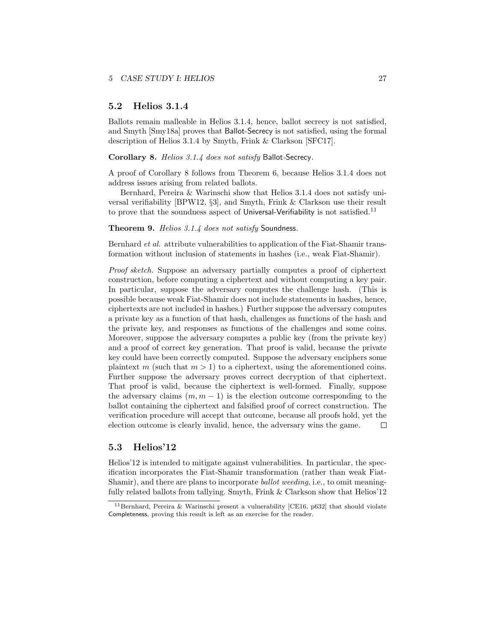## 5.2 Helios 3.1.4

Ballots remain malleable in Helios 3.1.4, hence, ballot secrecy is not satisfied, and Smyth [Smy18a] proves that Ballot-Secrecy is not satisfied, using the formal description of Helios 3.1.4 by Smyth, Frink & Clarkson [SFC17].

#### Corollary 8. Helios 3.1.4 does not satisfy Ballot-Secrecy.

A proof of Corollary 8 follows from Theorem 6, because Helios 3.1.4 does not address issues arising from related ballots.

Bernhard, Pereira & Warinschi show that Helios 3.1.4 does not satisfy universal verifiability [BPW12, §3], and Smyth, Frink & Clarkson use their result to prove that the soundness aspect of Universal-Verifiability is not satisfied.<sup>11</sup>

#### Theorem 9. Helios 3.1.4 does not satisfy Soundness.

Bernhard et al. attribute vulnerabilities to application of the Fiat-Shamir transformation without inclusion of statements in hashes (i.e., weak Fiat-Shamir).

Proof sketch. Suppose an adversary partially computes a proof of ciphertext construction, before computing a ciphertext and without computing a key pair. In particular, suppose the adversary computes the challenge hash. (This is possible because weak Fiat-Shamir does not include statements in hashes, hence, ciphertexts are not included in hashes.) Further suppose the adversary computes a private key as a function of that hash, challenges as functions of the hash and the private key, and responses as functions of the challenges and some coins. Moreover, suppose the adversary computes a public key (from the private key) and a proof of correct key generation. That proof is valid, because the private key could have been correctly computed. Suppose the adversary enciphers some plaintext m (such that  $m > 1$ ) to a ciphertext, using the aforementioned coins. Further suppose the adversary proves correct decryption of that ciphertext. That proof is valid, because the ciphertext is well-formed. Finally, suppose the adversary claims  $(m, m - 1)$  is the election outcome corresponding to the ballot containing the ciphertext and falsified proof of correct construction. The verification procedure will accept that outcome, because all proofs hold, yet the election outcome is clearly invalid, hence, the adversary wins the game.  $\Box$ 

#### 5.3 Helios'12

Helios'12 is intended to mitigate against vulnerabilities. In particular, the specification incorporates the Fiat-Shamir transformation (rather than weak Fiat-Shamir), and there are plans to incorporate ballot weeding, i.e., to omit meaningfully related ballots from tallying. Smyth, Frink & Clarkson show that Helios'12

<sup>11</sup>Bernhard, Pereira & Warinschi present a vulnerability [CE16, p632] that should violate Completeness, proving this result is left as an exercise for the reader.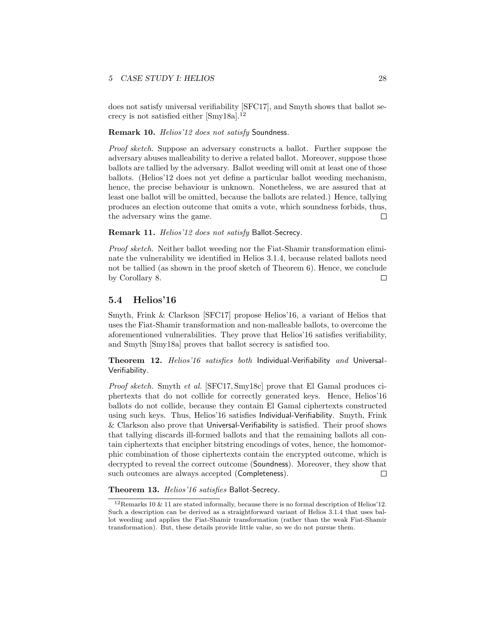### 5 CASE STUDY I: HELIOS 28

does not satisfy universal verifiability [SFC17], and Smyth shows that ballot secrecy is not satisfied either [Smy18a].<sup>12</sup>

### Remark 10. Helios'12 does not satisfy Soundness.

Proof sketch. Suppose an adversary constructs a ballot. Further suppose the adversary abuses malleability to derive a related ballot. Moreover, suppose those ballots are tallied by the adversary. Ballot weeding will omit at least one of those ballots. (Helios'12 does not yet define a particular ballot weeding mechanism, hence, the precise behaviour is unknown. Nonetheless, we are assured that at least one ballot will be omitted, because the ballots are related.) Hence, tallying produces an election outcome that omits a vote, which soundness forbids, thus, the adversary wins the game.  $\Box$ 

#### Remark 11. Helios'12 does not satisfy Ballot-Secrecy.

Proof sketch. Neither ballot weeding nor the Fiat-Shamir transformation eliminate the vulnerability we identified in Helios 3.1.4, because related ballots need not be tallied (as shown in the proof sketch of Theorem 6). Hence, we conclude by Corollary 8.  $\Box$ 

## 5.4 Helios'16

Smyth, Frink & Clarkson [SFC17] propose Helios'16, a variant of Helios that uses the Fiat-Shamir transformation and non-malleable ballots, to overcome the aforementioned vulnerabilities. They prove that Helios'16 satisfies verifiability, and Smyth [Smy18a] proves that ballot secrecy is satisfied too.

Theorem 12. Helios'16 satisfies both Individual-Verifiability and Universal-Verifiability.

Proof sketch. Smyth et al. [SFC17, Smy18c] prove that El Gamal produces ciphertexts that do not collide for correctly generated keys. Hence, Helios'16 ballots do not collide, because they contain El Gamal ciphertexts constructed using such keys. Thus, Helios'16 satisfies Individual-Verifiability. Smyth, Frink & Clarkson also prove that Universal-Verifiability is satisfied. Their proof shows that tallying discards ill-formed ballots and that the remaining ballots all contain ciphertexts that encipher bitstring encodings of votes, hence, the homomorphic combination of those ciphertexts contain the encrypted outcome, which is decrypted to reveal the correct outcome (Soundness). Moreover, they show that such outcomes are always accepted (Completeness).  $\Box$ 

Theorem 13. Helios'16 satisfies Ballot-Secrecy.

<sup>&</sup>lt;sup>12</sup>Remarks 10 & 11 are stated informally, because there is no formal description of Helios'12. Such a description can be derived as a straightforward variant of Helios 3.1.4 that uses ballot weeding and applies the Fiat-Shamir transformation (rather than the weak Fiat-Shamir transformation). But, these details provide little value, so we do not pursue them.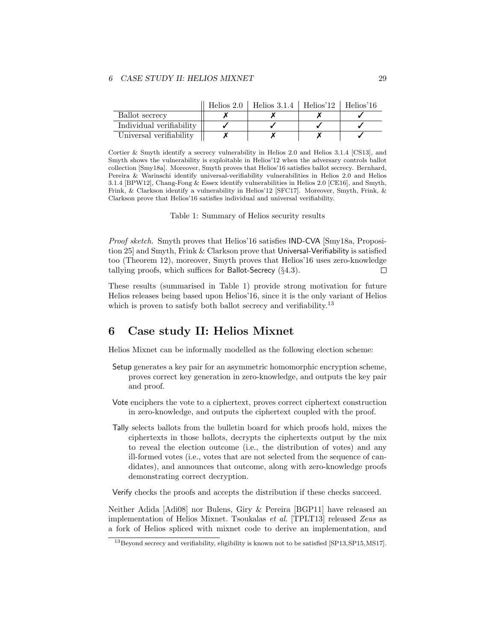#### 6 CASE STUDY II: HELIOS MIXNET 29

|                          | Helios 2.0   Helios 3.1.4   Helios $12$   Helios $16$ |  |
|--------------------------|-------------------------------------------------------|--|
| Ballot secrecy           |                                                       |  |
| Individual verifiability |                                                       |  |
| Universal verifiability  |                                                       |  |

Cortier & Smyth identify a secrecy vulnerability in Helios 2.0 and Helios 3.1.4 [CS13], and Smyth shows the vulnerability is exploitable in Helios'12 when the adversary controls ballot collection [Smy18a]. Moreover, Smyth proves that Helios'16 satisfies ballot secrecy. Bernhard, Pereira & Warinschi identify universal-verifiability vulnerabilities in Helios 2.0 and Helios 3.1.4 [BPW12], Chang-Fong & Essex identify vulnerabilities in Helios 2.0 [CE16], and Smyth, Frink, & Clarkson identify a vulnerability in Helios'12 [SFC17]. Moreover, Smyth, Frink, & Clarkson prove that Helios'16 satisfies individual and universal verifiability.

Table 1: Summary of Helios security results

Proof sketch. Smyth proves that Helios'16 satisfies IND-CVA [Smy18a, Proposition 25] and Smyth, Frink & Clarkson prove that Universal-Verifiability is satisfied too (Theorem 12), moreover, Smyth proves that Helios'16 uses zero-knowledge tallying proofs, which suffices for Ballot-Secrecy (§4.3).  $\Box$ 

These results (summarised in Table 1) provide strong motivation for future Helios releases being based upon Helios'16, since it is the only variant of Helios which is proven to satisfy both ballot secrecy and verifiability.<sup>13</sup>

# 6 Case study II: Helios Mixnet

Helios Mixnet can be informally modelled as the following election scheme:

- Setup generates a key pair for an asymmetric homomorphic encryption scheme, proves correct key generation in zero-knowledge, and outputs the key pair and proof.
- Vote enciphers the vote to a ciphertext, proves correct ciphertext construction in zero-knowledge, and outputs the ciphertext coupled with the proof.
- Tally selects ballots from the bulletin board for which proofs hold, mixes the ciphertexts in those ballots, decrypts the ciphertexts output by the mix to reveal the election outcome (i.e., the distribution of votes) and any ill-formed votes (i.e., votes that are not selected from the sequence of candidates), and announces that outcome, along with zero-knowledge proofs demonstrating correct decryption.

Verify checks the proofs and accepts the distribution if these checks succeed.

Neither Adida [Adi08] nor Bulens, Giry & Pereira [BGP11] have released an implementation of Helios Mixnet. Tsoukalas et al. [TPLT13] released Zeus as a fork of Helios spliced with mixnet code to derive an implementation, and

<sup>13</sup>Beyond secrecy and verifiability, eligibility is known not to be satisfied [SP13,SP15,MS17].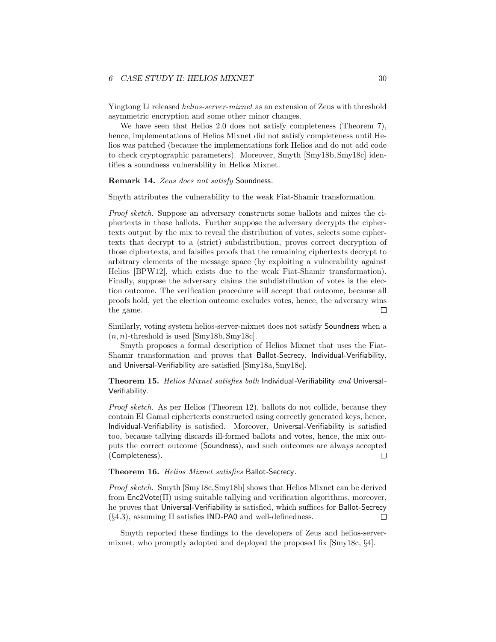#### 6 CASE STUDY II: HELIOS MIXNET 30

Yingtong Li released *helios-server-mixnet* as an extension of Zeus with threshold asymmetric encryption and some other minor changes.

We have seen that Helios 2.0 does not satisfy completeness (Theorem 7), hence, implementations of Helios Mixnet did not satisfy completeness until Helios was patched (because the implementations fork Helios and do not add code to check cryptographic parameters). Moreover, Smyth [Smy18b, Smy18c] identifies a soundness vulnerability in Helios Mixnet.

Remark 14. Zeus does not satisfy Soundness.

Smyth attributes the vulnerability to the weak Fiat-Shamir transformation.

Proof sketch. Suppose an adversary constructs some ballots and mixes the ciphertexts in those ballots. Further suppose the adversary decrypts the ciphertexts output by the mix to reveal the distribution of votes, selects some ciphertexts that decrypt to a (strict) subdistribution, proves correct decryption of those ciphertexts, and falsifies proofs that the remaining ciphertexts decrypt to arbitrary elements of the message space (by exploiting a vulnerability against Helios [BPW12], which exists due to the weak Fiat-Shamir transformation). Finally, suppose the adversary claims the subdistribution of votes is the election outcome. The verification procedure will accept that outcome, because all proofs hold, yet the election outcome excludes votes, hence, the adversary wins the game.  $\Box$ 

Similarly, voting system helios-server-mixnet does not satisfy Soundness when a  $(n, n)$ -threshold is used [Smy18b, Smy18c].

Smyth proposes a formal description of Helios Mixnet that uses the Fiat-Shamir transformation and proves that Ballot-Secrecy, Individual-Verifiability, and Universal-Verifiability are satisfied [Smy18a, Smy18c].

Theorem 15. Helios Mixnet satisfies both Individual-Verifiability and Universal-Verifiability.

Proof sketch. As per Helios (Theorem 12), ballots do not collide, because they contain El Gamal ciphertexts constructed using correctly generated keys, hence, Individual-Verifiability is satisfied. Moreover, Universal-Verifiability is satisfied too, because tallying discards ill-formed ballots and votes, hence, the mix outputs the correct outcome (Soundness), and such outcomes are always accepted (Completeness).  $\Box$ 

Theorem 16. Helios Mixnet satisfies Ballot-Secrecy.

Proof sketch. Smyth [Smy18c,Smy18b] shows that Helios Mixnet can be derived from  $Enc2Vote(\Pi)$  using suitable tallying and verification algorithms, moreover, he proves that Universal-Verifiability is satisfied, which suffices for Ballot-Secrecy  $(\S4.3)$ , assuming  $\Pi$  satisfies IND-PA0 and well-definedness.  $\Box$ 

Smyth reported these findings to the developers of Zeus and helios-servermixnet, who promptly adopted and deployed the proposed fix [Smy18c, §4].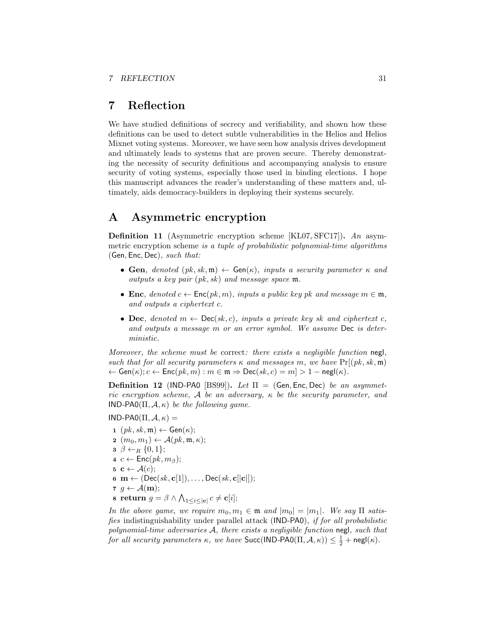## 7 Reflection

We have studied definitions of secrecy and verifiability, and shown how these definitions can be used to detect subtle vulnerabilities in the Helios and Helios Mixnet voting systems. Moreover, we have seen how analysis drives development and ultimately leads to systems that are proven secure. Thereby demonstrating the necessity of security definitions and accompanying analysis to ensure security of voting systems, especially those used in binding elections. I hope this manuscript advances the reader's understanding of these matters and, ultimately, aids democracy-builders in deploying their systems securely.

# A Asymmetric encryption

Definition 11 (Asymmetric encryption scheme [KL07, SFC17]). An asymmetric encryption scheme is a tuple of probabilistic polynomial-time algorithms (Gen, Enc, Dec), such that:

- Gen, denoted  $(pk, sk, m) \leftarrow Gen(\kappa)$ , inputs a security parameter  $\kappa$  and outputs a key pair  $(pk, sk)$  and message space  $m$ .
- Enc, denoted  $c \leftarrow \text{Enc}(pk, m)$ , inputs a public key pk and message  $m \in \mathfrak{m}$ , and outputs a ciphertext c.
- Dec, denoted  $m \leftarrow \text{Dec}(sk, c)$ , inputs a private key sk and ciphertext c, and outputs a message m or an error symbol. We assume Dec is deterministic.

Moreover, the scheme must be correct: there exists a negligible function negl, such that for all security parameters  $\kappa$  and messages m, we have  $Pr[(pk, sk, \mathfrak{m})]$  $\leftarrow$  Gen $(\kappa); c \leftarrow$  Enc $(\mathit{pk}, \mathit{m}): \mathit{m} \in \mathfrak{m} \Rightarrow$  Dec $(\mathit{sk}, c) = \mathit{m}$  $> 1 - \mathsf{negl}(\kappa)$ .

**Definition 12** (IND-PA0 [BS99]). Let  $\Pi = (Gen, Enc, Dec)$  be an asymmetric encryption scheme,  $A$  be an adversary,  $\kappa$  be the security parameter, and IND-PA0( $\Pi$ ,  $\mathcal{A}$ ,  $\kappa$ ) be the following game.

IND-PA0( $\Pi$ ,  $\mathcal{A}$ ,  $\kappa$ ) =

 $1$   $(pk, sk, m) \leftarrow Gen(\kappa);$  $2(m_0, m_1) \leftarrow \mathcal{A}(pk, \mathfrak{m}, \kappa);$  $\mathbf{3} \quad \beta \leftarrow_R \{0,1\};$  $4\ c \leftarrow \mathsf{Enc}(pk, m_B);$ 5  $c \leftarrow \mathcal{A}(c);$ 6  $\mathbf{m} \leftarrow (\mathsf{Dec}(sk, \mathbf{c}[1]), \dots, \mathsf{Dec}(sk, \mathbf{c}[[\mathbf{c}]]);$ 7  $g \leftarrow \mathcal{A}(\mathbf{m});$ 8 return  $g = \beta \wedge \bigwedge_{1 \leq i \leq |\mathbf{c}|} c \neq \mathbf{c}[i];$ 

In the above game, we require  $m_0, m_1 \in \mathfrak{m}$  and  $|m_0| = |m_1|$ . We say  $\Pi$  satisfies indistinguishability under parallel attack (IND-PA0), if for all probabilistic polynomial-time adversaries  $A$ , there exists a negligible function negl, such that for all security parameters  $\kappa$ , we have  $\mathsf{Succ}(\mathsf{IND}\text{-}\mathsf{PAO}(\Pi,\mathcal{A},\kappa)) \leq \frac{1}{2} + \mathsf{negl}(\kappa)$ .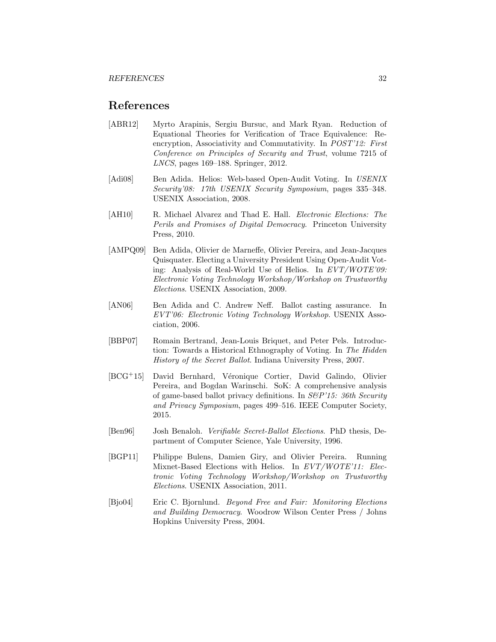## References

- [ABR12] Myrto Arapinis, Sergiu Bursuc, and Mark Ryan. Reduction of Equational Theories for Verification of Trace Equivalence: Reencryption, Associativity and Commutativity. In *POST'12: First* Conference on Principles of Security and Trust, volume 7215 of LNCS, pages 169–188. Springer, 2012.
- [Adi08] Ben Adida. Helios: Web-based Open-Audit Voting. In USENIX Security'08: 17th USENIX Security Symposium, pages 335–348. USENIX Association, 2008.
- [AH10] R. Michael Alvarez and Thad E. Hall. *Electronic Elections: The* Perils and Promises of Digital Democracy. Princeton University Press, 2010.
- [AMPQ09] Ben Adida, Olivier de Marneffe, Olivier Pereira, and Jean-Jacques Quisquater. Electing a University President Using Open-Audit Voting: Analysis of Real-World Use of Helios. In EVT/WOTE'09: Electronic Voting Technology Workshop/Workshop on Trustworthy Elections. USENIX Association, 2009.
- [AN06] Ben Adida and C. Andrew Neff. Ballot casting assurance. In EVT'06: Electronic Voting Technology Workshop. USENIX Association, 2006.
- [BBP07] Romain Bertrand, Jean-Louis Briquet, and Peter Pels. Introduction: Towards a Historical Ethnography of Voting. In The Hidden History of the Secret Ballot. Indiana University Press, 2007.
- [BCG<sup>+</sup>15] David Bernhard, Véronique Cortier, David Galindo, Olivier Pereira, and Bogdan Warinschi. SoK: A comprehensive analysis of game-based ballot privacy definitions. In S&P'15: 36th Security and Privacy Symposium, pages 499–516. IEEE Computer Society, 2015.
- [Ben96] Josh Benaloh. Verifiable Secret-Ballot Elections. PhD thesis, Department of Computer Science, Yale University, 1996.
- [BGP11] Philippe Bulens, Damien Giry, and Olivier Pereira. Running Mixnet-Based Elections with Helios. In EVT/WOTE'11: Electronic Voting Technology Workshop/Workshop on Trustworthy Elections. USENIX Association, 2011.
- [Bjo04] Eric C. Bjornlund. Beyond Free and Fair: Monitoring Elections and Building Democracy. Woodrow Wilson Center Press / Johns Hopkins University Press, 2004.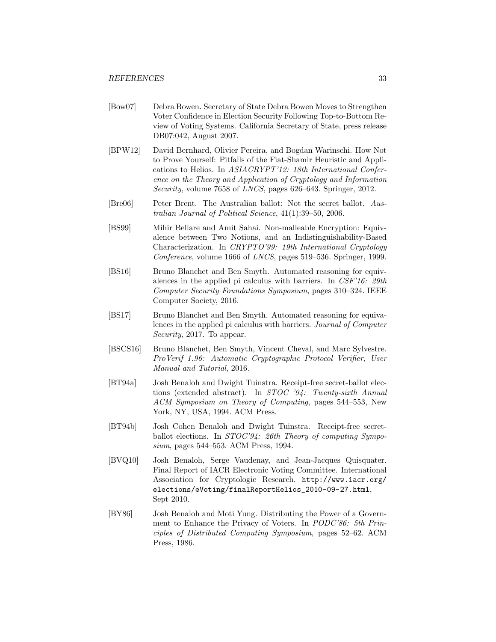- [Bow07] Debra Bowen. Secretary of State Debra Bowen Moves to Strengthen Voter Confidence in Election Security Following Top-to-Bottom Review of Voting Systems. California Secretary of State, press release DB07:042, August 2007.
- [BPW12] David Bernhard, Olivier Pereira, and Bogdan Warinschi. How Not to Prove Yourself: Pitfalls of the Fiat-Shamir Heuristic and Applications to Helios. In ASIACRYPT'12: 18th International Conference on the Theory and Application of Cryptology and Information Security, volume 7658 of LNCS, pages 626–643. Springer, 2012.
- [Bre06] Peter Brent. The Australian ballot: Not the secret ballot. Australian Journal of Political Science, 41(1):39–50, 2006.
- [BS99] Mihir Bellare and Amit Sahai. Non-malleable Encryption: Equivalence between Two Notions, and an Indistinguishability-Based Characterization. In CRYPTO'99: 19th International Cryptology Conference, volume 1666 of LNCS, pages 519–536. Springer, 1999.
- [BS16] Bruno Blanchet and Ben Smyth. Automated reasoning for equivalences in the applied pi calculus with barriers. In CSF'16: 29th Computer Security Foundations Symposium, pages 310–324. IEEE Computer Society, 2016.
- [BS17] Bruno Blanchet and Ben Smyth. Automated reasoning for equivalences in the applied pi calculus with barriers. Journal of Computer Security, 2017. To appear.
- [BSCS16] Bruno Blanchet, Ben Smyth, Vincent Cheval, and Marc Sylvestre. ProVerif 1.96: Automatic Cryptographic Protocol Verifier, User Manual and Tutorial, 2016.
- [BT94a] Josh Benaloh and Dwight Tuinstra. Receipt-free secret-ballot elections (extended abstract). In STOC '94: Twenty-sixth Annual ACM Symposium on Theory of Computing, pages 544–553, New York, NY, USA, 1994. ACM Press.
- [BT94b] Josh Cohen Benaloh and Dwight Tuinstra. Receipt-free secretballot elections. In *STOC*'94: 26th Theory of computing Symposium, pages 544–553. ACM Press, 1994.
- [BVQ10] Josh Benaloh, Serge Vaudenay, and Jean-Jacques Quisquater. Final Report of IACR Electronic Voting Committee. International Association for Cryptologic Research. http://www.iacr.org/ elections/eVoting/finalReportHelios\_2010-09-27.html, Sept 2010.
- [BY86] Josh Benaloh and Moti Yung. Distributing the Power of a Government to Enhance the Privacy of Voters. In PODC'86: 5th Principles of Distributed Computing Symposium, pages 52–62. ACM Press, 1986.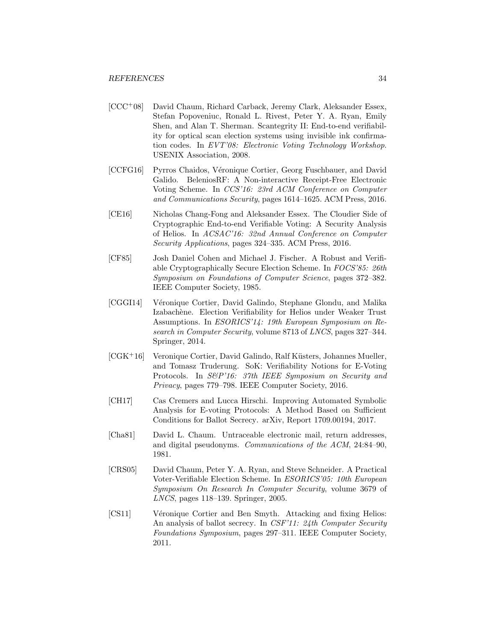- [CCC+08] David Chaum, Richard Carback, Jeremy Clark, Aleksander Essex, Stefan Popoveniuc, Ronald L. Rivest, Peter Y. A. Ryan, Emily Shen, and Alan T. Sherman. Scantegrity II: End-to-end verifiability for optical scan election systems using invisible ink confirmation codes. In EVT'08: Electronic Voting Technology Workshop. USENIX Association, 2008.
- [CCFG16] Pyrros Chaidos, Véronique Cortier, Georg Fuschbauer, and David Galido. BeleniosRF: A Non-interactive Receipt-Free Electronic Voting Scheme. In CCS'16: 23rd ACM Conference on Computer and Communications Security, pages 1614–1625. ACM Press, 2016.
- [CE16] Nicholas Chang-Fong and Aleksander Essex. The Cloudier Side of Cryptographic End-to-end Verifiable Voting: A Security Analysis of Helios. In ACSAC'16: 32nd Annual Conference on Computer Security Applications, pages 324–335. ACM Press, 2016.
- [CF85] Josh Daniel Cohen and Michael J. Fischer. A Robust and Verifiable Cryptographically Secure Election Scheme. In FOCS'85: 26th Symposium on Foundations of Computer Science, pages 372–382. IEEE Computer Society, 1985.
- [CGGI14] Véronique Cortier, David Galindo, Stephane Glondu, and Malika Izabachène. Election Verifiability for Helios under Weaker Trust Assumptions. In ESORICS'14: 19th European Symposium on Research in Computer Security, volume 8713 of LNCS, pages 327–344. Springer, 2014.
- [CGK+16] Veronique Cortier, David Galindo, Ralf Küsters, Johannes Mueller, and Tomasz Truderung. SoK: Verifiability Notions for E-Voting Protocols. In S&P'16: 37th IEEE Symposium on Security and Privacy, pages 779–798. IEEE Computer Society, 2016.
- [CH17] Cas Cremers and Lucca Hirschi. Improving Automated Symbolic Analysis for E-voting Protocols: A Method Based on Sufficient Conditions for Ballot Secrecy. arXiv, Report 1709.00194, 2017.
- [Cha81] David L. Chaum. Untraceable electronic mail, return addresses, and digital pseudonyms. Communications of the ACM, 24:84–90, 1981.
- [CRS05] David Chaum, Peter Y. A. Ryan, and Steve Schneider. A Practical Voter-Verifiable Election Scheme. In ESORICS'05: 10th European Symposium On Research In Computer Security, volume 3679 of LNCS, pages 118–139. Springer, 2005.
- [CS11] Véronique Cortier and Ben Smyth. Attacking and fixing Helios: An analysis of ballot secrecy. In CSF'11: 24th Computer Security Foundations Symposium, pages 297–311. IEEE Computer Society, 2011.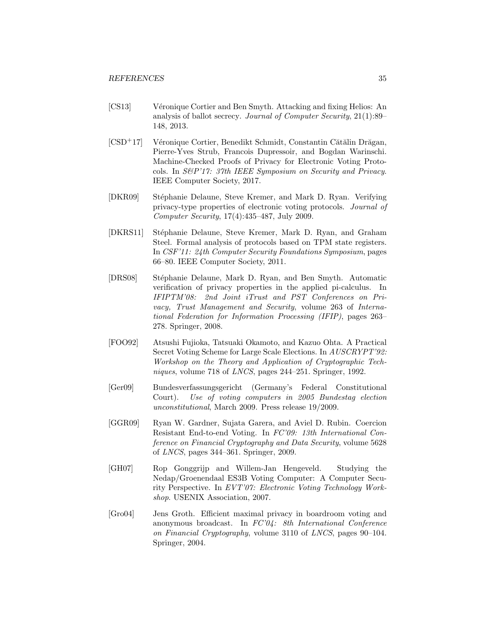- [CS13] Véronique Cortier and Ben Smyth. Attacking and fixing Helios: An analysis of ballot secrecy. Journal of Computer Security, 21(1):89– 148, 2013.
- [CSD+17] Véronique Cortier, Benedikt Schmidt, Constantin Cătălin Drăgan, Pierre-Yves Strub, Francois Dupressoir, and Bogdan Warinschi. Machine-Checked Proofs of Privacy for Electronic Voting Protocols. In S&P'17: 37th IEEE Symposium on Security and Privacy. IEEE Computer Society, 2017.
- [DKR09] Stéphanie Delaune, Steve Kremer, and Mark D. Ryan. Verifying privacy-type properties of electronic voting protocols. Journal of Computer Security, 17(4):435–487, July 2009.
- [DKRS11] Stéphanie Delaune, Steve Kremer, Mark D. Ryan, and Graham Steel. Formal analysis of protocols based on TPM state registers. In CSF'11: 24th Computer Security Foundations Symposium, pages 66–80. IEEE Computer Society, 2011.
- [DRS08] St´ephanie Delaune, Mark D. Ryan, and Ben Smyth. Automatic verification of privacy properties in the applied pi-calculus. In IFIPTM'08: 2nd Joint iTrust and PST Conferences on Privacy, Trust Management and Security, volume 263 of International Federation for Information Processing (IFIP), pages 263– 278. Springer, 2008.
- [FOO92] Atsushi Fujioka, Tatsuaki Okamoto, and Kazuo Ohta. A Practical Secret Voting Scheme for Large Scale Elections. In AUSCRYPT'92: Workshop on the Theory and Application of Cryptographic Techniques, volume 718 of LNCS, pages 244–251. Springer, 1992.
- [Ger09] Bundesverfassungsgericht (Germany's Federal Constitutional Court). Use of voting computers in 2005 Bundestag election unconstitutional, March 2009. Press release 19/2009.
- [GGR09] Ryan W. Gardner, Sujata Garera, and Aviel D. Rubin. Coercion Resistant End-to-end Voting. In FC'09: 13th International Conference on Financial Cryptography and Data Security, volume 5628 of LNCS, pages 344–361. Springer, 2009.
- [GH07] Rop Gonggrijp and Willem-Jan Hengeveld. Studying the Nedap/Groenendaal ES3B Voting Computer: A Computer Security Perspective. In EVT'07: Electronic Voting Technology Workshop. USENIX Association, 2007.
- [Gro04] Jens Groth. Efficient maximal privacy in boardroom voting and anonymous broadcast. In FC'04: 8th International Conference on Financial Cryptography, volume 3110 of LNCS, pages 90–104. Springer, 2004.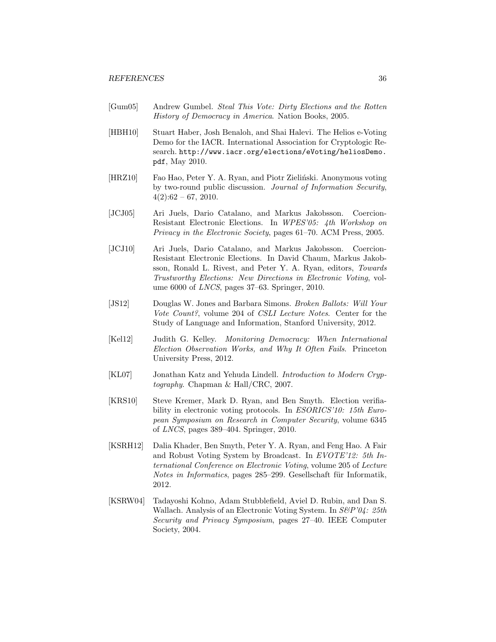- [Gum05] Andrew Gumbel. Steal This Vote: Dirty Elections and the Rotten History of Democracy in America. Nation Books, 2005.
- [HBH10] Stuart Haber, Josh Benaloh, and Shai Halevi. The Helios e-Voting Demo for the IACR. International Association for Cryptologic Research. http://www.iacr.org/elections/eVoting/heliosDemo. pdf, May 2010.
- [HRZ10] Fao Hao, Peter Y. A. Ryan, and Piotr Zieliński. Anonymous voting by two-round public discussion. Journal of Information Security,  $4(2):62 - 67, 2010.$
- [JCJ05] Ari Juels, Dario Catalano, and Markus Jakobsson. Coercion-Resistant Electronic Elections. In WPES'05: 4th Workshop on Privacy in the Electronic Society, pages 61–70. ACM Press, 2005.
- [JCJ10] Ari Juels, Dario Catalano, and Markus Jakobsson. Coercion-Resistant Electronic Elections. In David Chaum, Markus Jakobsson, Ronald L. Rivest, and Peter Y. A. Ryan, editors, Towards Trustworthy Elections: New Directions in Electronic Voting, volume 6000 of LNCS, pages 37–63. Springer, 2010.
- [JS12] Douglas W. Jones and Barbara Simons. Broken Ballots: Will Your Vote Count?, volume 204 of CSLI Lecture Notes. Center for the Study of Language and Information, Stanford University, 2012.
- [Kel12] Judith G. Kelley. Monitoring Democracy: When International Election Observation Works, and Why It Often Fails. Princeton University Press, 2012.
- [KL07] Jonathan Katz and Yehuda Lindell. *Introduction to Modern Cryp*tography. Chapman & Hall/CRC, 2007.
- [KRS10] Steve Kremer, Mark D. Ryan, and Ben Smyth. Election verifiability in electronic voting protocols. In ESORICS'10: 15th European Symposium on Research in Computer Security, volume 6345 of LNCS, pages 389–404. Springer, 2010.
- [KSRH12] Dalia Khader, Ben Smyth, Peter Y. A. Ryan, and Feng Hao. A Fair and Robust Voting System by Broadcast. In EVOTE'12: 5th International Conference on Electronic Voting, volume 205 of Lecture Notes in Informatics, pages 285–299. Gesellschaft für Informatik, 2012.
- [KSRW04] Tadayoshi Kohno, Adam Stubblefield, Aviel D. Rubin, and Dan S. Wallach. Analysis of an Electronic Voting System. In  $S\&P'04: 25th$ Security and Privacy Symposium, pages 27–40. IEEE Computer Society, 2004.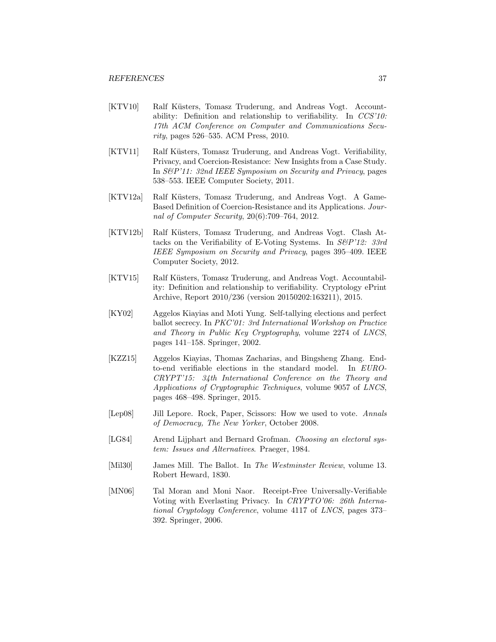- [KTV10] Ralf Küsters, Tomasz Truderung, and Andreas Vogt. Accountability: Definition and relationship to verifiability. In CCS'10: 17th ACM Conference on Computer and Communications Security, pages 526–535. ACM Press, 2010.
- [KTV11] Ralf Küsters, Tomasz Truderung, and Andreas Vogt. Verifiability, Privacy, and Coercion-Resistance: New Insights from a Case Study. In S&P'11: 32nd IEEE Symposium on Security and Privacy, pages 538–553. IEEE Computer Society, 2011.
- [KTV12a] Ralf Küsters, Tomasz Truderung, and Andreas Vogt. A Game-Based Definition of Coercion-Resistance and its Applications. Journal of Computer Security, 20(6):709–764, 2012.
- [KTV12b] Ralf Küsters, Tomasz Truderung, and Andreas Vogt. Clash Attacks on the Verifiability of E-Voting Systems. In S&P'12: 33rd IEEE Symposium on Security and Privacy, pages 395–409. IEEE Computer Society, 2012.
- [KTV15] Ralf Küsters, Tomasz Truderung, and Andreas Vogt. Accountability: Definition and relationship to verifiability. Cryptology ePrint Archive, Report 2010/236 (version 20150202:163211), 2015.
- [KY02] Aggelos Kiayias and Moti Yung. Self-tallying elections and perfect ballot secrecy. In PKC'01: 3rd International Workshop on Practice and Theory in Public Key Cryptography, volume 2274 of LNCS, pages 141–158. Springer, 2002.
- [KZZ15] Aggelos Kiayias, Thomas Zacharias, and Bingsheng Zhang. Endto-end verifiable elections in the standard model. In EURO-CRYPT'15: 34th International Conference on the Theory and Applications of Cryptographic Techniques, volume 9057 of LNCS, pages 468–498. Springer, 2015.
- [Lep08] Jill Lepore. Rock, Paper, Scissors: How we used to vote. Annals of Democracy, The New Yorker, October 2008.
- [LG84] Arend Lijphart and Bernard Grofman. Choosing an electoral system: Issues and Alternatives. Praeger, 1984.
- [Mil30] James Mill. The Ballot. In The Westminster Review, volume 13. Robert Heward, 1830.
- [MN06] Tal Moran and Moni Naor. Receipt-Free Universally-Verifiable Voting with Everlasting Privacy. In CRYPTO'06: 26th International Cryptology Conference, volume 4117 of LNCS, pages 373– 392. Springer, 2006.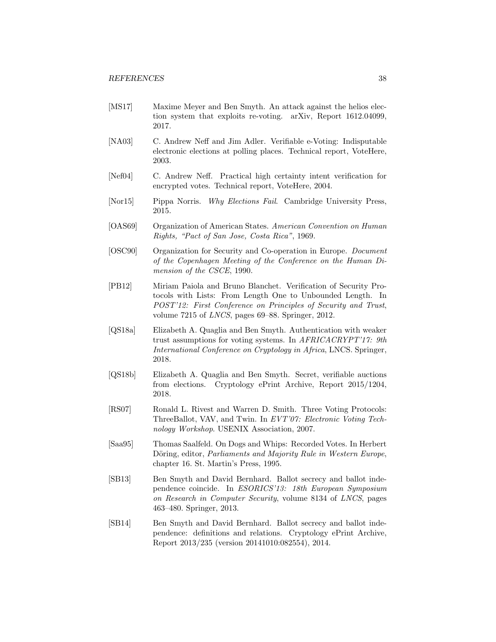- [MS17] Maxime Meyer and Ben Smyth. An attack against the helios election system that exploits re-voting. arXiv, Report 1612.04099, 2017.
- [NA03] C. Andrew Neff and Jim Adler. Verifiable e-Voting: Indisputable electronic elections at polling places. Technical report, VoteHere, 2003.
- [Nef04] C. Andrew Neff. Practical high certainty intent verification for encrypted votes. Technical report, VoteHere, 2004.
- [Nor15] Pippa Norris. Why Elections Fail. Cambridge University Press, 2015.
- [OAS69] Organization of American States. American Convention on Human Rights, "Pact of San Jose, Costa Rica", 1969.
- [OSC90] Organization for Security and Co-operation in Europe. Document of the Copenhagen Meeting of the Conference on the Human Dimension of the CSCE, 1990.
- [PB12] Miriam Paiola and Bruno Blanchet. Verification of Security Protocols with Lists: From Length One to Unbounded Length. In POST'12: First Conference on Principles of Security and Trust, volume 7215 of LNCS, pages 69–88. Springer, 2012.
- [QS18a] Elizabeth A. Quaglia and Ben Smyth. Authentication with weaker trust assumptions for voting systems. In AFRICACRYPT'17: 9th International Conference on Cryptology in Africa, LNCS. Springer, 2018.
- [QS18b] Elizabeth A. Quaglia and Ben Smyth. Secret, verifiable auctions from elections. Cryptology ePrint Archive, Report 2015/1204, 2018.
- [RS07] Ronald L. Rivest and Warren D. Smith. Three Voting Protocols: ThreeBallot, VAV, and Twin. In EVT'07: Electronic Voting Technology Workshop. USENIX Association, 2007.
- [Saa95] Thomas Saalfeld. On Dogs and Whips: Recorded Votes. In Herbert Döring, editor, Parliaments and Majority Rule in Western Europe, chapter 16. St. Martin's Press, 1995.
- [SB13] Ben Smyth and David Bernhard. Ballot secrecy and ballot independence coincide. In ESORICS'13: 18th European Symposium on Research in Computer Security, volume 8134 of LNCS, pages 463–480. Springer, 2013.
- [SB14] Ben Smyth and David Bernhard. Ballot secrecy and ballot independence: definitions and relations. Cryptology ePrint Archive, Report 2013/235 (version 20141010:082554), 2014.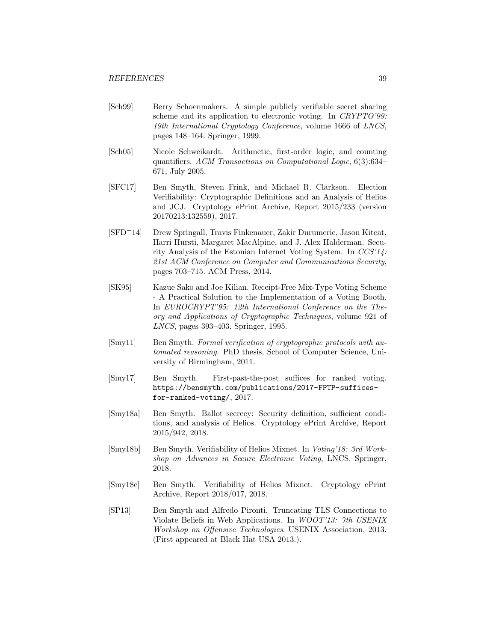- [Sch99] Berry Schoenmakers. A simple publicly verifiable secret sharing scheme and its application to electronic voting. In CRYPTO'99: 19th International Cryptology Conference, volume 1666 of LNCS, pages 148–164. Springer, 1999.
- [Sch05] Nicole Schweikardt. Arithmetic, first-order logic, and counting quantifiers. ACM Transactions on Computational Logic, 6(3):634– 671, July 2005.
- [SFC17] Ben Smyth, Steven Frink, and Michael R. Clarkson. Election Verifiability: Cryptographic Definitions and an Analysis of Helios and JCJ. Cryptology ePrint Archive, Report 2015/233 (version 20170213:132559), 2017.
- [SFD+14] Drew Springall, Travis Finkenauer, Zakir Durumeric, Jason Kitcat, Harri Hursti, Margaret MacAlpine, and J. Alex Halderman. Security Analysis of the Estonian Internet Voting System. In CCS'14: 21st ACM Conference on Computer and Communications Security, pages 703–715. ACM Press, 2014.
- [SK95] Kazue Sako and Joe Kilian. Receipt-Free Mix-Type Voting Scheme - A Practical Solution to the Implementation of a Voting Booth. In EUROCRYPT'95: 12th International Conference on the Theory and Applications of Cryptographic Techniques, volume 921 of LNCS, pages 393–403. Springer, 1995.
- [Smy11] Ben Smyth. Formal verification of cryptographic protocols with automated reasoning. PhD thesis, School of Computer Science, University of Birmingham, 2011.
- [Smy17] Ben Smyth. First-past-the-post suffices for ranked voting. https://bensmyth.com/publications/2017-FPTP-sufficesfor-ranked-voting/, 2017.
- [Smy18a] Ben Smyth. Ballot secrecy: Security definition, sufficient conditions, and analysis of Helios. Cryptology ePrint Archive, Report 2015/942, 2018.
- [Smy18b] Ben Smyth. Verifiability of Helios Mixnet. In Voting'18: 3rd Workshop on Advances in Secure Electronic Voting, LNCS. Springer, 2018.
- [Smy18c] Ben Smyth. Verifiability of Helios Mixnet. Cryptology ePrint Archive, Report 2018/017, 2018.
- [SP13] Ben Smyth and Alfredo Pironti. Truncating TLS Connections to Violate Beliefs in Web Applications. In WOOT'13: 7th USENIX Workshop on Offensive Technologies. USENIX Association, 2013. (First appeared at Black Hat USA 2013.).